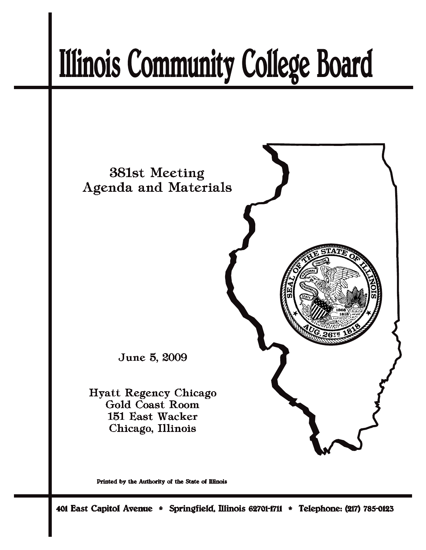# **Illinois Community College Board**



Printed by the Authority of the State of Illinois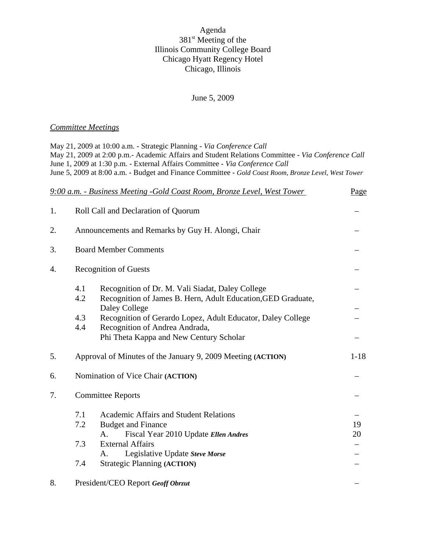## Agenda 381<sup>st</sup> Meeting of the Illinois Community College Board Chicago Hyatt Regency Hotel Chicago, Illinois

#### June 5, 2009

## *Committee Meetings*

May 21, 2009 at 10:00 a.m. - Strategic Planning - *Via Conference Call* May 21, 2009 at 2:00 p.m.- Academic Affairs and Student Relations Committee - *Via Conference Call* June 1, 2009 at 1:30 p.m. - External Affairs Committee *- Via Conference Call* June 5, 2009 at 8:00 a.m. *-* Budget and Finance Committee *- Gold Coast Room, Bronze Level, West Tower*

|    |                              | 9:00 a.m. - Business Meeting -Gold Coast Room, Bronze Level, West Tower                                                                                                                                                           | Page     |
|----|------------------------------|-----------------------------------------------------------------------------------------------------------------------------------------------------------------------------------------------------------------------------------|----------|
| 1. |                              | Roll Call and Declaration of Quorum                                                                                                                                                                                               |          |
| 2. |                              | Announcements and Remarks by Guy H. Alongi, Chair                                                                                                                                                                                 |          |
| 3. | <b>Board Member Comments</b> |                                                                                                                                                                                                                                   |          |
| 4. | <b>Recognition of Guests</b> |                                                                                                                                                                                                                                   |          |
|    | 4.1<br>4.2                   | Recognition of Dr. M. Vali Siadat, Daley College<br>Recognition of James B. Hern, Adult Education, GED Graduate,                                                                                                                  |          |
|    | 4.3<br>4.4                   | Daley College<br>Recognition of Gerardo Lopez, Adult Educator, Daley College<br>Recognition of Andrea Andrada,<br>Phi Theta Kappa and New Century Scholar                                                                         |          |
| 5. |                              | Approval of Minutes of the January 9, 2009 Meeting (ACTION)                                                                                                                                                                       | $1 - 18$ |
| 6. |                              | Nomination of Vice Chair (ACTION)                                                                                                                                                                                                 |          |
| 7. | <b>Committee Reports</b>     |                                                                                                                                                                                                                                   |          |
|    | 7.1<br>7.2<br>7.3<br>7.4     | <b>Academic Affairs and Student Relations</b><br><b>Budget and Finance</b><br>Fiscal Year 2010 Update Ellen Andres<br>A.<br><b>External Affairs</b><br>Legislative Update Steve Morse<br>A.<br><b>Strategic Planning (ACTION)</b> | 19<br>20 |
| 8. |                              | President/CEO Report Geoff Obrzut                                                                                                                                                                                                 |          |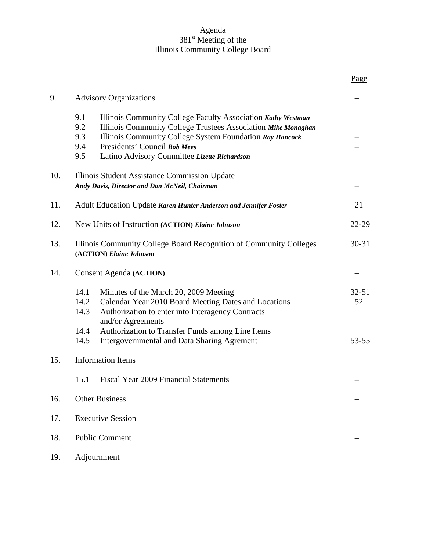## Agenda 381<sup>st</sup> Meeting of the Illinois Community College Board

|     |                                                                                                                                                                                                                                                                                                              | Page            |  |
|-----|--------------------------------------------------------------------------------------------------------------------------------------------------------------------------------------------------------------------------------------------------------------------------------------------------------------|-----------------|--|
| 9.  | <b>Advisory Organizations</b>                                                                                                                                                                                                                                                                                |                 |  |
|     | 9.1<br>Illinois Community College Faculty Association Kathy Westman<br>9.2<br>Illinois Community College Trustees Association Mike Monaghan<br>9.3<br>Illinois Community College System Foundation Ray Hancock<br>9.4<br>Presidents' Council Bob Mees<br>9.5<br>Latino Advisory Committee Lizette Richardson |                 |  |
| 10. | Illinois Student Assistance Commission Update<br>Andy Davis, Director and Don McNeil, Chairman                                                                                                                                                                                                               |                 |  |
| 11. | Adult Education Update Karen Hunter Anderson and Jennifer Foster                                                                                                                                                                                                                                             | 21              |  |
| 12. | New Units of Instruction (ACTION) Elaine Johnson                                                                                                                                                                                                                                                             | 22-29           |  |
| 13. | Illinois Community College Board Recognition of Community Colleges<br>(ACTION) Elaine Johnson                                                                                                                                                                                                                | $30 - 31$       |  |
| 14. | <b>Consent Agenda (ACTION)</b>                                                                                                                                                                                                                                                                               |                 |  |
|     | 14.1<br>Minutes of the March 20, 2009 Meeting<br>14.2<br>Calendar Year 2010 Board Meeting Dates and Locations<br>14.3<br>Authorization to enter into Interagency Contracts<br>and/or Agreements                                                                                                              | $32 - 51$<br>52 |  |
|     | 14.4<br>Authorization to Transfer Funds among Line Items<br>Intergovernmental and Data Sharing Agrement<br>14.5                                                                                                                                                                                              | $53 - 55$       |  |
| 15. | <b>Information Items</b>                                                                                                                                                                                                                                                                                     |                 |  |
|     | 15.1<br>Fiscal Year 2009 Financial Statements                                                                                                                                                                                                                                                                |                 |  |
| 16. | <b>Other Business</b>                                                                                                                                                                                                                                                                                        |                 |  |
| 17. | <b>Executive Session</b>                                                                                                                                                                                                                                                                                     |                 |  |
| 18. | <b>Public Comment</b>                                                                                                                                                                                                                                                                                        |                 |  |
| 19. | Adjournment                                                                                                                                                                                                                                                                                                  |                 |  |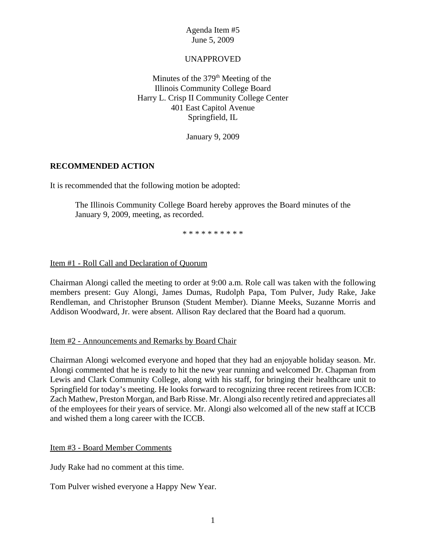## UNAPPROVED

Minutes of the  $379<sup>th</sup>$  Meeting of the Illinois Community College Board Harry L. Crisp II Community College Center 401 East Capitol Avenue Springfield, IL

January 9, 2009

## **RECOMMENDED ACTION**

It is recommended that the following motion be adopted:

The Illinois Community College Board hereby approves the Board minutes of the January 9, 2009, meeting, as recorded.

\* \* \* \* \* \* \* \* \* \*

## Item #1 - Roll Call and Declaration of Quorum

Chairman Alongi called the meeting to order at 9:00 a.m. Role call was taken with the following members present: Guy Alongi, James Dumas, Rudolph Papa, Tom Pulver, Judy Rake, Jake Rendleman, and Christopher Brunson (Student Member). Dianne Meeks, Suzanne Morris and Addison Woodward, Jr. were absent. Allison Ray declared that the Board had a quorum.

#### Item #2 - Announcements and Remarks by Board Chair

Chairman Alongi welcomed everyone and hoped that they had an enjoyable holiday season. Mr. Alongi commented that he is ready to hit the new year running and welcomed Dr. Chapman from Lewis and Clark Community College, along with his staff, for bringing their healthcare unit to Springfield for today's meeting. He looks forward to recognizing three recent retirees from ICCB: Zach Mathew, Preston Morgan, and Barb Risse. Mr. Alongi also recently retired and appreciates all of the employees for their years of service. Mr. Alongi also welcomed all of the new staff at ICCB and wished them a long career with the ICCB.

Item #3 - Board Member Comments

Judy Rake had no comment at this time.

Tom Pulver wished everyone a Happy New Year.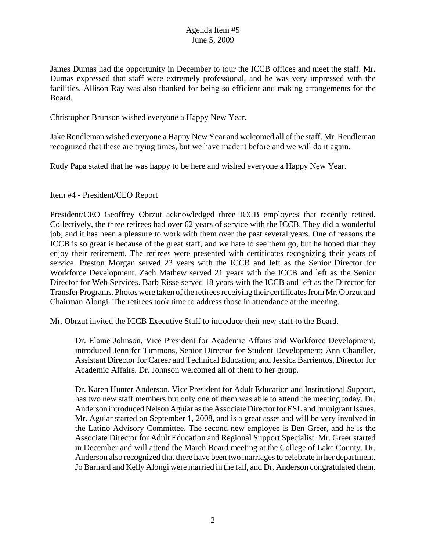James Dumas had the opportunity in December to tour the ICCB offices and meet the staff. Mr. Dumas expressed that staff were extremely professional, and he was very impressed with the facilities. Allison Ray was also thanked for being so efficient and making arrangements for the Board.

Christopher Brunson wished everyone a Happy New Year.

Jake Rendleman wished everyone a Happy New Year and welcomed all of the staff. Mr. Rendleman recognized that these are trying times, but we have made it before and we will do it again.

Rudy Papa stated that he was happy to be here and wished everyone a Happy New Year.

#### Item #4 - President/CEO Report

President/CEO Geoffrey Obrzut acknowledged three ICCB employees that recently retired. Collectively, the three retirees had over 62 years of service with the ICCB. They did a wonderful job, and it has been a pleasure to work with them over the past several years. One of reasons the ICCB is so great is because of the great staff, and we hate to see them go, but he hoped that they enjoy their retirement. The retirees were presented with certificates recognizing their years of service. Preston Morgan served 23 years with the ICCB and left as the Senior Director for Workforce Development. Zach Mathew served 21 years with the ICCB and left as the Senior Director for Web Services. Barb Risse served 18 years with the ICCB and left as the Director for Transfer Programs. Photos were taken of the retirees receiving their certificates from Mr. Obrzut and Chairman Alongi. The retirees took time to address those in attendance at the meeting.

Mr. Obrzut invited the ICCB Executive Staff to introduce their new staff to the Board.

Dr. Elaine Johnson, Vice President for Academic Affairs and Workforce Development, introduced Jennifer Timmons, Senior Director for Student Development; Ann Chandler, Assistant Director for Career and Technical Education; and Jessica Barrientos, Director for Academic Affairs. Dr. Johnson welcomed all of them to her group.

Dr. Karen Hunter Anderson, Vice President for Adult Education and Institutional Support, has two new staff members but only one of them was able to attend the meeting today. Dr. Anderson introduced Nelson Aguiar as the Associate Director for ESL and Immigrant Issues. Mr. Aguiar started on September 1, 2008, and is a great asset and will be very involved in the Latino Advisory Committee. The second new employee is Ben Greer, and he is the Associate Director for Adult Education and Regional Support Specialist. Mr. Greer started in December and will attend the March Board meeting at the College of Lake County. Dr. Anderson also recognized that there have been two marriages to celebrate in her department. Jo Barnard and Kelly Alongi were married in the fall, and Dr. Anderson congratulated them.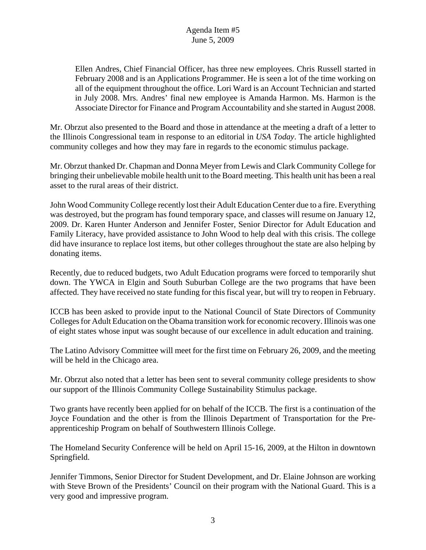Ellen Andres, Chief Financial Officer, has three new employees. Chris Russell started in February 2008 and is an Applications Programmer. He is seen a lot of the time working on all of the equipment throughout the office. Lori Ward is an Account Technician and started in July 2008. Mrs. Andres' final new employee is Amanda Harmon. Ms. Harmon is the Associate Director for Finance and Program Accountability and she started in August 2008.

Mr. Obrzut also presented to the Board and those in attendance at the meeting a draft of a letter to the Illinois Congressional team in response to an editorial in *USA Today*. The article highlighted community colleges and how they may fare in regards to the economic stimulus package.

Mr. Obrzut thanked Dr. Chapman and Donna Meyer from Lewis and Clark Community College for bringing their unbelievable mobile health unit to the Board meeting. This health unit has been a real asset to the rural areas of their district.

John Wood Community College recently lost their Adult Education Center due to a fire. Everything was destroyed, but the program has found temporary space, and classes will resume on January 12, 2009. Dr. Karen Hunter Anderson and Jennifer Foster, Senior Director for Adult Education and Family Literacy, have provided assistance to John Wood to help deal with this crisis. The college did have insurance to replace lost items, but other colleges throughout the state are also helping by donating items.

Recently, due to reduced budgets, two Adult Education programs were forced to temporarily shut down. The YWCA in Elgin and South Suburban College are the two programs that have been affected. They have received no state funding for this fiscal year, but will try to reopen in February.

ICCB has been asked to provide input to the National Council of State Directors of Community Colleges for Adult Education on the Obama transition work for economic recovery. Illinois was one of eight states whose input was sought because of our excellence in adult education and training.

The Latino Advisory Committee will meet for the first time on February 26, 2009, and the meeting will be held in the Chicago area.

Mr. Obrzut also noted that a letter has been sent to several community college presidents to show our support of the Illinois Community College Sustainability Stimulus package.

Two grants have recently been applied for on behalf of the ICCB. The first is a continuation of the Joyce Foundation and the other is from the Illinois Department of Transportation for the Preapprenticeship Program on behalf of Southwestern Illinois College.

The Homeland Security Conference will be held on April 15-16, 2009, at the Hilton in downtown Springfield.

Jennifer Timmons, Senior Director for Student Development, and Dr. Elaine Johnson are working with Steve Brown of the Presidents' Council on their program with the National Guard. This is a very good and impressive program.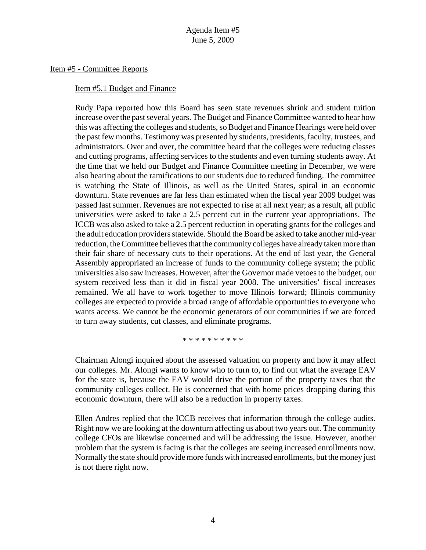#### Item #5 - Committee Reports

#### Item #5.1 Budget and Finance

Rudy Papa reported how this Board has seen state revenues shrink and student tuition increase over the past several years. The Budget and Finance Committee wanted to hear how this was affecting the colleges and students, so Budget and Finance Hearings were held over the past few months. Testimony was presented by students, presidents, faculty, trustees, and administrators. Over and over, the committee heard that the colleges were reducing classes and cutting programs, affecting services to the students and even turning students away. At the time that we held our Budget and Finance Committee meeting in December, we were also hearing about the ramifications to our students due to reduced funding. The committee is watching the State of Illinois, as well as the United States, spiral in an economic downturn. State revenues are far less than estimated when the fiscal year 2009 budget was passed last summer. Revenues are not expected to rise at all next year; as a result, all public universities were asked to take a 2.5 percent cut in the current year appropriations. The ICCB was also asked to take a 2.5 percent reduction in operating grants for the colleges and the adult education providers statewide. Should the Board be asked to take another mid-year reduction, the Committee believes that the community colleges have already taken more than their fair share of necessary cuts to their operations. At the end of last year, the General Assembly appropriated an increase of funds to the community college system; the public universities also saw increases. However, after the Governor made vetoes to the budget, our system received less than it did in fiscal year 2008. The universities' fiscal increases remained. We all have to work together to move Illinois forward; Illinois community colleges are expected to provide a broad range of affordable opportunities to everyone who wants access. We cannot be the economic generators of our communities if we are forced to turn away students, cut classes, and eliminate programs.

\* \* \* \* \* \* \* \* \* \*

Chairman Alongi inquired about the assessed valuation on property and how it may affect our colleges. Mr. Alongi wants to know who to turn to, to find out what the average EAV for the state is, because the EAV would drive the portion of the property taxes that the community colleges collect. He is concerned that with home prices dropping during this economic downturn, there will also be a reduction in property taxes.

Ellen Andres replied that the ICCB receives that information through the college audits. Right now we are looking at the downturn affecting us about two years out. The community college CFOs are likewise concerned and will be addressing the issue. However, another problem that the system is facing is that the colleges are seeing increased enrollments now. Normally the state should provide more funds with increased enrollments, but the money just is not there right now.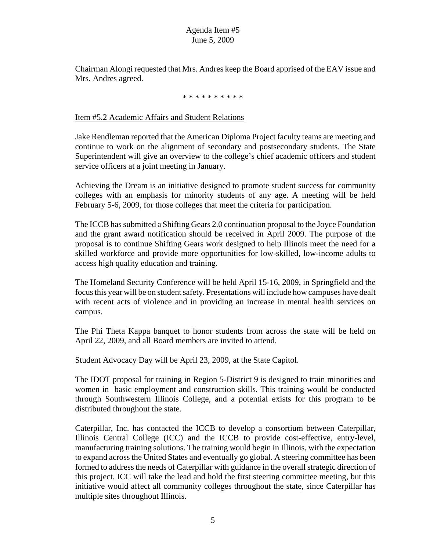Chairman Alongi requested that Mrs. Andres keep the Board apprised of the EAV issue and Mrs. Andres agreed.

#### \* \* \* \* \* \* \* \* \* \*

#### Item #5.2 Academic Affairs and Student Relations

Jake Rendleman reported that the American Diploma Project faculty teams are meeting and continue to work on the alignment of secondary and postsecondary students. The State Superintendent will give an overview to the college's chief academic officers and student service officers at a joint meeting in January.

Achieving the Dream is an initiative designed to promote student success for community colleges with an emphasis for minority students of any age. A meeting will be held February 5-6, 2009, for those colleges that meet the criteria for participation.

The ICCB has submitted a Shifting Gears 2.0 continuation proposal to the Joyce Foundation and the grant award notification should be received in April 2009. The purpose of the proposal is to continue Shifting Gears work designed to help Illinois meet the need for a skilled workforce and provide more opportunities for low-skilled, low-income adults to access high quality education and training.

The Homeland Security Conference will be held April 15-16, 2009, in Springfield and the focus this year will be on student safety. Presentations will include how campuses have dealt with recent acts of violence and in providing an increase in mental health services on campus.

The Phi Theta Kappa banquet to honor students from across the state will be held on April 22, 2009, and all Board members are invited to attend.

Student Advocacy Day will be April 23, 2009, at the State Capitol.

The IDOT proposal for training in Region 5-District 9 is designed to train minorities and women in basic employment and construction skills. This training would be conducted through Southwestern Illinois College, and a potential exists for this program to be distributed throughout the state.

Caterpillar, Inc. has contacted the ICCB to develop a consortium between Caterpillar, Illinois Central College (ICC) and the ICCB to provide cost-effective, entry-level, manufacturing training solutions. The training would begin in Illinois, with the expectation to expand across the United States and eventually go global. A steering committee has been formed to address the needs of Caterpillar with guidance in the overall strategic direction of this project. ICC will take the lead and hold the first steering committee meeting, but this initiative would affect all community colleges throughout the state, since Caterpillar has multiple sites throughout Illinois.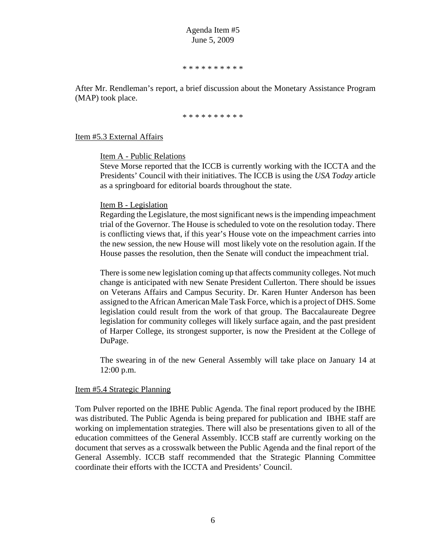\* \* \* \* \* \* \* \* \* \*

After Mr. Rendleman's report, a brief discussion about the Monetary Assistance Program (MAP) took place.

\* \* \* \* \* \* \* \* \* \*

Item #5.3 External Affairs

Item A - Public Relations

Steve Morse reported that the ICCB is currently working with the ICCTA and the Presidents' Council with their initiatives. The ICCB is using the *USA Today* article as a springboard for editorial boards throughout the state.

#### Item B - Legislation

Regarding the Legislature, the most significant news is the impending impeachment trial of the Governor. The House is scheduled to vote on the resolution today. There is conflicting views that, if this year's House vote on the impeachment carries into the new session, the new House will most likely vote on the resolution again. If the House passes the resolution, then the Senate will conduct the impeachment trial.

There is some new legislation coming up that affects community colleges. Not much change is anticipated with new Senate President Cullerton. There should be issues on Veterans Affairs and Campus Security. Dr. Karen Hunter Anderson has been assigned to the African American Male Task Force, which is a project of DHS. Some legislation could result from the work of that group. The Baccalaureate Degree legislation for community colleges will likely surface again, and the past president of Harper College, its strongest supporter, is now the President at the College of DuPage.

The swearing in of the new General Assembly will take place on January 14 at 12:00 p.m.

#### Item #5.4 Strategic Planning

Tom Pulver reported on the IBHE Public Agenda. The final report produced by the IBHE was distributed. The Public Agenda is being prepared for publication and IBHE staff are working on implementation strategies. There will also be presentations given to all of the education committees of the General Assembly. ICCB staff are currently working on the document that serves as a crosswalk between the Public Agenda and the final report of the General Assembly. ICCB staff recommended that the Strategic Planning Committee coordinate their efforts with the ICCTA and Presidents' Council.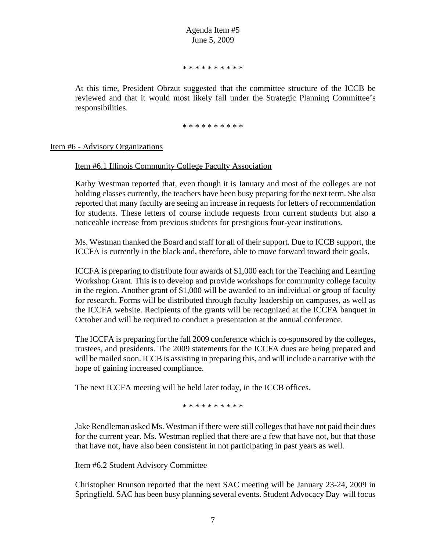\* \* \* \* \* \* \* \* \* \*

At this time, President Obrzut suggested that the committee structure of the ICCB be reviewed and that it would most likely fall under the Strategic Planning Committee's responsibilities.

\* \* \* \* \* \* \* \* \* \*

Item #6 - Advisory Organizations

Item #6.1 Illinois Community College Faculty Association

Kathy Westman reported that, even though it is January and most of the colleges are not holding classes currently, the teachers have been busy preparing for the next term. She also reported that many faculty are seeing an increase in requests for letters of recommendation for students. These letters of course include requests from current students but also a noticeable increase from previous students for prestigious four-year institutions.

Ms. Westman thanked the Board and staff for all of their support. Due to ICCB support, the ICCFA is currently in the black and, therefore, able to move forward toward their goals.

ICCFA is preparing to distribute four awards of \$1,000 each for the Teaching and Learning Workshop Grant. This is to develop and provide workshops for community college faculty in the region. Another grant of \$1,000 will be awarded to an individual or group of faculty for research. Forms will be distributed through faculty leadership on campuses, as well as the ICCFA website. Recipients of the grants will be recognized at the ICCFA banquet in October and will be required to conduct a presentation at the annual conference.

The ICCFA is preparing for the fall 2009 conference which is co-sponsored by the colleges, trustees, and presidents. The 2009 statements for the ICCFA dues are being prepared and will be mailed soon. ICCB is assisting in preparing this, and will include a narrative with the hope of gaining increased compliance.

The next ICCFA meeting will be held later today, in the ICCB offices.

\* \* \* \* \* \* \* \* \* \*

Jake Rendleman asked Ms. Westman if there were still colleges that have not paid their dues for the current year. Ms. Westman replied that there are a few that have not, but that those that have not, have also been consistent in not participating in past years as well.

Item #6.2 Student Advisory Committee

Christopher Brunson reported that the next SAC meeting will be January 23-24, 2009 in Springfield. SAC has been busy planning several events. Student Advocacy Day will focus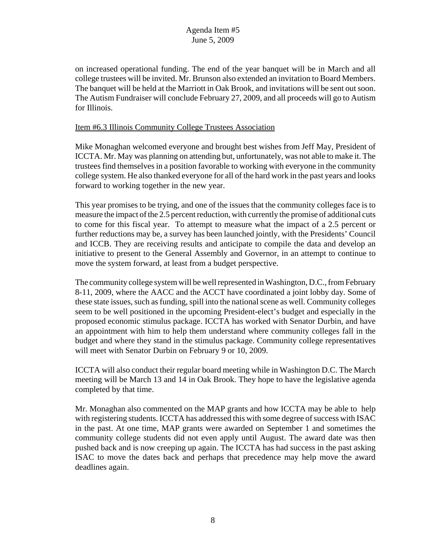on increased operational funding. The end of the year banquet will be in March and all college trustees will be invited. Mr. Brunson also extended an invitation to Board Members. The banquet will be held at the Marriott in Oak Brook, and invitations will be sent out soon. The Autism Fundraiser will conclude February 27, 2009, and all proceeds will go to Autism for Illinois.

#### Item #6.3 Illinois Community College Trustees Association

Mike Monaghan welcomed everyone and brought best wishes from Jeff May, President of ICCTA. Mr. May was planning on attending but, unfortunately, was not able to make it. The trustees find themselves in a position favorable to working with everyone in the community college system. He also thanked everyone for all of the hard work in the past years and looks forward to working together in the new year.

This year promises to be trying, and one of the issues that the community colleges face is to measure the impact of the 2.5 percent reduction, with currently the promise of additional cuts to come for this fiscal year. To attempt to measure what the impact of a 2.5 percent or further reductions may be, a survey has been launched jointly, with the Presidents' Council and ICCB. They are receiving results and anticipate to compile the data and develop an initiative to present to the General Assembly and Governor, in an attempt to continue to move the system forward, at least from a budget perspective.

The community college system will be well represented in Washington, D.C., from February 8-11, 2009, where the AACC and the ACCT have coordinated a joint lobby day. Some of these state issues, such as funding, spill into the national scene as well. Community colleges seem to be well positioned in the upcoming President-elect's budget and especially in the proposed economic stimulus package. ICCTA has worked with Senator Durbin, and have an appointment with him to help them understand where community colleges fall in the budget and where they stand in the stimulus package. Community college representatives will meet with Senator Durbin on February 9 or 10, 2009.

ICCTA will also conduct their regular board meeting while in Washington D.C. The March meeting will be March 13 and 14 in Oak Brook. They hope to have the legislative agenda completed by that time.

Mr. Monaghan also commented on the MAP grants and how ICCTA may be able to help with registering students. ICCTA has addressed this with some degree of success with ISAC in the past. At one time, MAP grants were awarded on September 1 and sometimes the community college students did not even apply until August. The award date was then pushed back and is now creeping up again. The ICCTA has had success in the past asking ISAC to move the dates back and perhaps that precedence may help move the award deadlines again.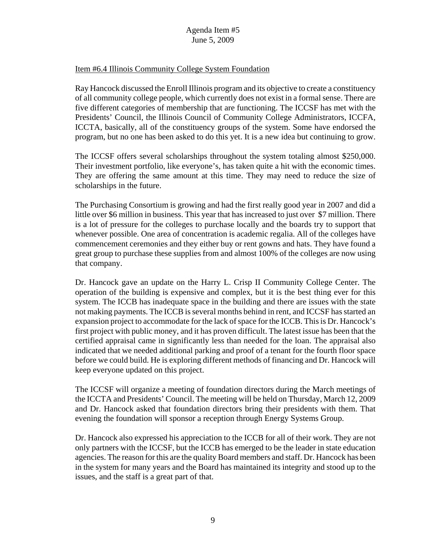#### Item #6.4 Illinois Community College System Foundation

Ray Hancock discussed the Enroll Illinois program and its objective to create a constituency of all community college people, which currently does not exist in a formal sense. There are five different categories of membership that are functioning. The ICCSF has met with the Presidents' Council, the Illinois Council of Community College Administrators, ICCFA, ICCTA, basically, all of the constituency groups of the system. Some have endorsed the program, but no one has been asked to do this yet. It is a new idea but continuing to grow.

The ICCSF offers several scholarships throughout the system totaling almost \$250,000. Their investment portfolio, like everyone's, has taken quite a hit with the economic times. They are offering the same amount at this time. They may need to reduce the size of scholarships in the future.

The Purchasing Consortium is growing and had the first really good year in 2007 and did a little over \$6 million in business. This year that has increased to just over \$7 million. There is a lot of pressure for the colleges to purchase locally and the boards try to support that whenever possible. One area of concentration is academic regalia. All of the colleges have commencement ceremonies and they either buy or rent gowns and hats. They have found a great group to purchase these supplies from and almost 100% of the colleges are now using that company.

Dr. Hancock gave an update on the Harry L. Crisp II Community College Center. The operation of the building is expensive and complex, but it is the best thing ever for this system. The ICCB has inadequate space in the building and there are issues with the state not making payments. The ICCB is several months behind in rent, and ICCSF has started an expansion project to accommodate for the lack of space for the ICCB. This is Dr. Hancock's first project with public money, and it has proven difficult. The latest issue has been that the certified appraisal came in significantly less than needed for the loan. The appraisal also indicated that we needed additional parking and proof of a tenant for the fourth floor space before we could build. He is exploring different methods of financing and Dr. Hancock will keep everyone updated on this project.

The ICCSF will organize a meeting of foundation directors during the March meetings of the ICCTA and Presidents' Council. The meeting will be held on Thursday, March 12, 2009 and Dr. Hancock asked that foundation directors bring their presidents with them. That evening the foundation will sponsor a reception through Energy Systems Group.

Dr. Hancock also expressed his appreciation to the ICCB for all of their work. They are not only partners with the ICCSF, but the ICCB has emerged to be the leader in state education agencies. The reason for this are the quality Board members and staff. Dr. Hancock has been in the system for many years and the Board has maintained its integrity and stood up to the issues, and the staff is a great part of that.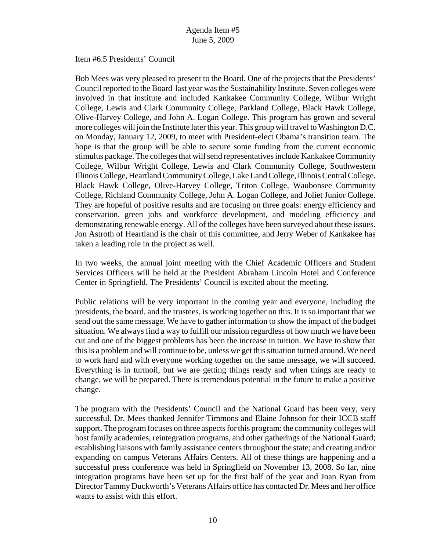#### Item #6.5 Presidents' Council

Bob Mees was very pleased to present to the Board. One of the projects that the Presidents' Council reported to the Board last year was the Sustainability Institute. Seven colleges were involved in that institute and included Kankakee Community College, Wilbur Wright College, Lewis and Clark Community College, Parkland College, Black Hawk College, Olive-Harvey College, and John A. Logan College. This program has grown and several more colleges will join the Institute later this year. This group will travel to Washington D.C. on Monday, January 12, 2009, to meet with President-elect Obama's transition team. The hope is that the group will be able to secure some funding from the current economic stimulus package. The colleges that will send representatives include Kankakee Community College, Wilbur Wright College, Lewis and Clark Community College, Southwestern Illinois College, Heartland Community College, Lake Land College, Illinois Central College, Black Hawk College, Olive-Harvey College, Triton College, Waubonsee Community College, Richland Community College, John A. Logan College, and Joliet Junior College. They are hopeful of positive results and are focusing on three goals: energy efficiency and conservation, green jobs and workforce development, and modeling efficiency and demonstrating renewable energy. All of the colleges have been surveyed about these issues. Jon Astroth of Heartland is the chair of this committee, and Jerry Weber of Kankakee has taken a leading role in the project as well.

In two weeks, the annual joint meeting with the Chief Academic Officers and Student Services Officers will be held at the President Abraham Lincoln Hotel and Conference Center in Springfield. The Presidents' Council is excited about the meeting.

Public relations will be very important in the coming year and everyone, including the presidents, the board, and the trustees, is working together on this. It is so important that we send out the same message. We have to gather information to show the impact of the budget situation. We always find a way to fulfill our mission regardless of how much we have been cut and one of the biggest problems has been the increase in tuition. We have to show that this is a problem and will continue to be, unless we get this situation turned around. We need to work hard and with everyone working together on the same message, we will succeed. Everything is in turmoil, but we are getting things ready and when things are ready to change, we will be prepared. There is tremendous potential in the future to make a positive change.

The program with the Presidents' Council and the National Guard has been very, very successful. Dr. Mees thanked Jennifer Timmons and Elaine Johnson for their ICCB staff support. The program focuses on three aspects for this program: the community colleges will host family academies, reintegration programs, and other gatherings of the National Guard; establishing liaisons with family assistance centers throughout the state; and creating and/or expanding on campus Veterans Affairs Centers. All of these things are happening and a successful press conference was held in Springfield on November 13, 2008. So far, nine integration programs have been set up for the first half of the year and Joan Ryan from Director Tammy Duckworth's Veterans Affairs office has contacted Dr. Mees and her office wants to assist with this effort.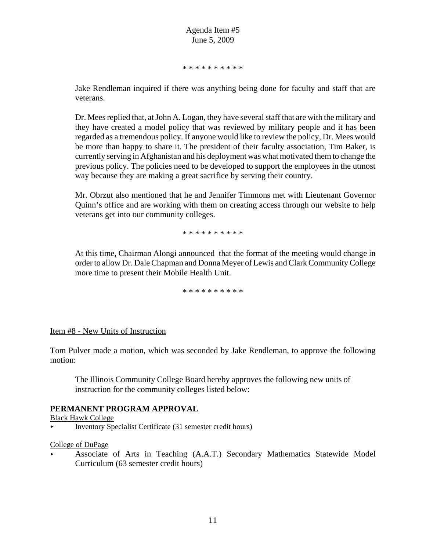\* \* \* \* \* \* \* \* \* \*

Jake Rendleman inquired if there was anything being done for faculty and staff that are veterans.

Dr. Mees replied that, at John A. Logan, they have several staff that are with the military and they have created a model policy that was reviewed by military people and it has been regarded as a tremendous policy. If anyone would like to review the policy, Dr. Mees would be more than happy to share it. The president of their faculty association, Tim Baker, is currently serving in Afghanistan and his deployment was what motivated them to change the previous policy. The policies need to be developed to support the employees in the utmost way because they are making a great sacrifice by serving their country.

Mr. Obrzut also mentioned that he and Jennifer Timmons met with Lieutenant Governor Quinn's office and are working with them on creating access through our website to help veterans get into our community colleges.

\* \* \* \* \* \* \* \* \* \*

At this time, Chairman Alongi announced that the format of the meeting would change in order to allow Dr. Dale Chapman and Donna Meyer of Lewis and Clark Community College more time to present their Mobile Health Unit.

\* \* \* \* \* \* \* \* \* \*

#### Item #8 - New Units of Instruction

Tom Pulver made a motion, which was seconded by Jake Rendleman, to approve the following motion:

The Illinois Community College Board hereby approves the following new units of instruction for the community colleges listed below:

#### **PERMANENT PROGRAM APPROVAL**

Black Hawk College

Inventory Specialist Certificate  $(31$  semester credit hours)

#### College of DuPage

< Associate of Arts in Teaching (A.A.T.) Secondary Mathematics Statewide Model Curriculum (63 semester credit hours)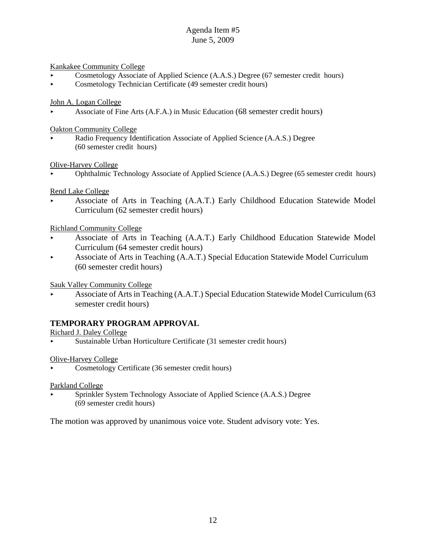Kankakee Community College

- < Cosmetology Associate of Applied Science (A.A.S.) Degree (67 semester credit hours)
- < Cosmetology Technician Certificate (49 semester credit hours)

John A. Logan College

< Associate of Fine Arts (A.F.A.) in Music Education (68 semester credit hours)

Oakton Community College

Radio Frequency Identification Associate of Applied Science (A.A.S.) Degree (60 semester credit hours)

Olive-Harvey College

< Ophthalmic Technology Associate of Applied Science (A.A.S.) Degree (65 semester credit hours)

Rend Lake College

< Associate of Arts in Teaching (A.A.T.) Early Childhood Education Statewide Model Curriculum (62 semester credit hours)

Richland Community College

- < Associate of Arts in Teaching (A.A.T.) Early Childhood Education Statewide Model Curriculum (64 semester credit hours)
- < Associate of Arts in Teaching (A.A.T.) Special Education Statewide Model Curriculum (60 semester credit hours)

Sauk Valley Community College

Associate of Arts in Teaching (A.A.T.) Special Education Statewide Model Curriculum (63 semester credit hours)

## **TEMPORARY PROGRAM APPROVAL**

Richard J. Daley College

< Sustainable Urban Horticulture Certificate (31 semester credit hours)

Olive-Harvey College

< Cosmetology Certificate (36 semester credit hours)

Parkland College

Sprinkler System Technology Associate of Applied Science (A.A.S.) Degree (69 semester credit hours)

The motion was approved by unanimous voice vote. Student advisory vote: Yes.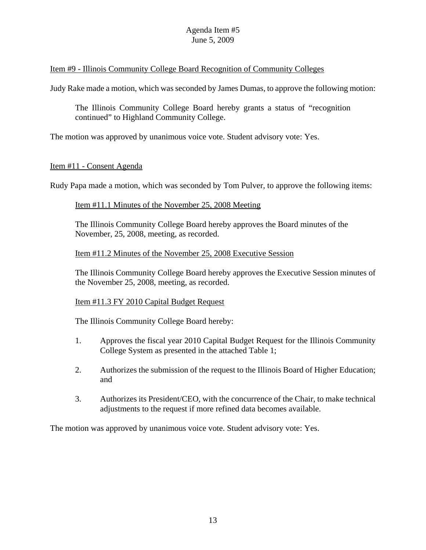## Item #9 - Illinois Community College Board Recognition of Community Colleges

Judy Rake made a motion, which was seconded by James Dumas, to approve the following motion:

The Illinois Community College Board hereby grants a status of "recognition continued" to Highland Community College.

The motion was approved by unanimous voice vote. Student advisory vote: Yes.

## Item #11 - Consent Agenda

Rudy Papa made a motion, which was seconded by Tom Pulver, to approve the following items:

## Item #11.1 Minutes of the November 25, 2008 Meeting

The Illinois Community College Board hereby approves the Board minutes of the November, 25, 2008, meeting, as recorded.

#### Item #11.2 Minutes of the November 25, 2008 Executive Session

The Illinois Community College Board hereby approves the Executive Session minutes of the November 25, 2008, meeting, as recorded.

#### Item #11.3 FY 2010 Capital Budget Request

The Illinois Community College Board hereby:

- 1. Approves the fiscal year 2010 Capital Budget Request for the Illinois Community College System as presented in the attached Table 1;
- 2. Authorizes the submission of the request to the Illinois Board of Higher Education; and
- 3. Authorizes its President/CEO, with the concurrence of the Chair, to make technical adjustments to the request if more refined data becomes available.

The motion was approved by unanimous voice vote. Student advisory vote: Yes.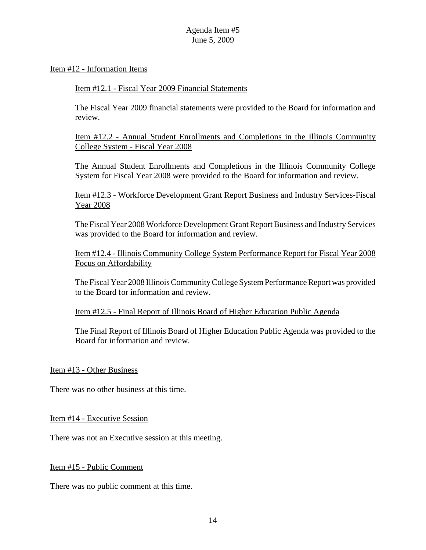#### Item #12 - Information Items

#### Item #12.1 - Fiscal Year 2009 Financial Statements

The Fiscal Year 2009 financial statements were provided to the Board for information and review.

Item #12.2 - Annual Student Enrollments and Completions in the Illinois Community College System - Fiscal Year 2008

The Annual Student Enrollments and Completions in the Illinois Community College System for Fiscal Year 2008 were provided to the Board for information and review.

Item #12.3 - Workforce Development Grant Report Business and Industry Services-Fiscal Year 2008

The Fiscal Year 2008 Workforce Development Grant Report Business and Industry Services was provided to the Board for information and review.

Item #12.4 - Illinois Community College System Performance Report for Fiscal Year 2008 Focus on Affordability

The Fiscal Year 2008 Illinois Community College System Performance Report was provided to the Board for information and review.

Item #12.5 - Final Report of Illinois Board of Higher Education Public Agenda

The Final Report of Illinois Board of Higher Education Public Agenda was provided to the Board for information and review.

Item #13 - Other Business

There was no other business at this time.

Item #14 - Executive Session

There was not an Executive session at this meeting.

#### Item #15 - Public Comment

There was no public comment at this time.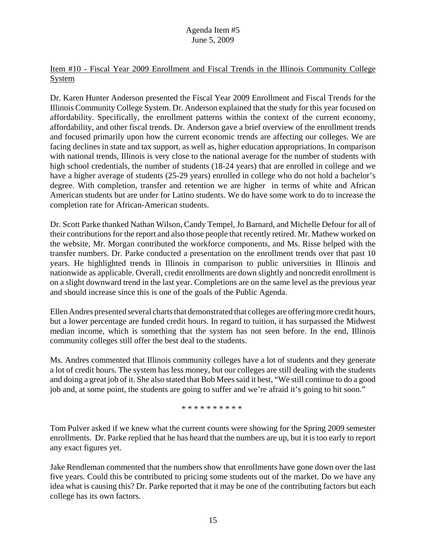## Item #10 - Fiscal Year 2009 Enrollment and Fiscal Trends in the Illinois Community College **System**

Dr. Karen Hunter Anderson presented the Fiscal Year 2009 Enrollment and Fiscal Trends for the Illinois Community College System. Dr. Anderson explained that the study for this year focused on affordability. Specifically, the enrollment patterns within the context of the current economy, affordability, and other fiscal trends. Dr. Anderson gave a brief overview of the enrollment trends and focused primarily upon how the current economic trends are affecting our colleges. We are facing declines in state and tax support, as well as, higher education appropriations. In comparison with national trends, Illinois is very close to the national average for the number of students with high school credentials, the number of students (18-24 years) that are enrolled in college and we have a higher average of students (25-29 years) enrolled in college who do not hold a bachelor's degree. With completion, transfer and retention we are higher in terms of white and African American students but are under for Latino students. We do have some work to do to increase the completion rate for African-American students.

Dr. Scott Parke thanked Nathan Wilson, Candy Tempel, Jo Barnard, and Michelle Defour for all of their contributions for the report and also those people that recently retired. Mr. Mathew worked on the website, Mr. Morgan contributed the workforce components, and Ms. Risse helped with the transfer numbers. Dr. Parke conducted a presentation on the enrollment trends over that past 10 years. He highlighted trends in Illinois in comparison to public universities in Illinois and nationwide as applicable. Overall, credit enrollments are down slightly and noncredit enrollment is on a slight downward trend in the last year. Completions are on the same level as the previous year and should increase since this is one of the goals of the Public Agenda.

Ellen Andres presented several charts that demonstrated that colleges are offering more credit hours, but a lower percentage are funded credit hours. In regard to tuition, it has surpassed the Midwest median income, which is something that the system has not seen before. In the end, Illinois community colleges still offer the best deal to the students.

Ms. Andres commented that Illinois community colleges have a lot of students and they generate a lot of credit hours. The system has less money, but our colleges are still dealing with the students and doing a great job of it. She also stated that Bob Mees said it best, "We still continue to do a good job and, at some point, the students are going to suffer and we're afraid it's going to hit soon."

\* \* \* \* \* \* \* \* \* \*

Tom Pulver asked if we knew what the current counts were showing for the Spring 2009 semester enrollments. Dr. Parke replied that he has heard that the numbers are up, but it is too early to report any exact figures yet.

Jake Rendleman commented that the numbers show that enrollments have gone down over the last five years. Could this be contributed to pricing some students out of the market. Do we have any idea what is causing this? Dr. Parke reported that it may be one of the contributing factors but each college has its own factors.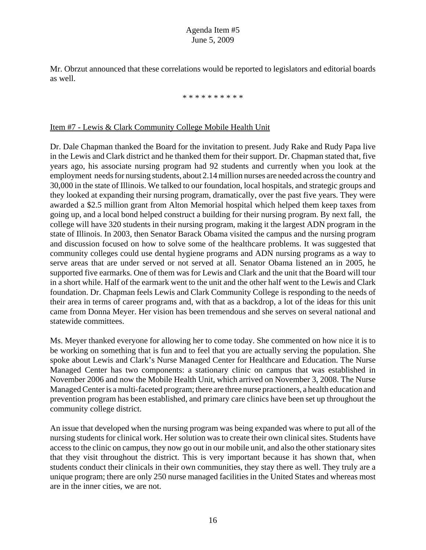Mr. Obrzut announced that these correlations would be reported to legislators and editorial boards as well.

#### \* \* \* \* \* \* \* \* \* \*

#### Item #7 - Lewis & Clark Community College Mobile Health Unit

Dr. Dale Chapman thanked the Board for the invitation to present. Judy Rake and Rudy Papa live in the Lewis and Clark district and he thanked them for their support. Dr. Chapman stated that, five years ago, his associate nursing program had 92 students and currently when you look at the employment needs for nursing students, about 2.14 million nurses are needed across the country and 30,000 in the state of Illinois. We talked to our foundation, local hospitals, and strategic groups and they looked at expanding their nursing program, dramatically, over the past five years. They were awarded a \$2.5 million grant from Alton Memorial hospital which helped them keep taxes from going up, and a local bond helped construct a building for their nursing program. By next fall, the college will have 320 students in their nursing program, making it the largest ADN program in the state of Illinois. In 2003, then Senator Barack Obama visited the campus and the nursing program and discussion focused on how to solve some of the healthcare problems. It was suggested that community colleges could use dental hygiene programs and ADN nursing programs as a way to serve areas that are under served or not served at all. Senator Obama listened an in 2005, he supported five earmarks. One of them was for Lewis and Clark and the unit that the Board will tour in a short while. Half of the earmark went to the unit and the other half went to the Lewis and Clark foundation. Dr. Chapman feels Lewis and Clark Community College is responding to the needs of their area in terms of career programs and, with that as a backdrop, a lot of the ideas for this unit came from Donna Meyer. Her vision has been tremendous and she serves on several national and statewide committees.

Ms. Meyer thanked everyone for allowing her to come today. She commented on how nice it is to be working on something that is fun and to feel that you are actually serving the population. She spoke about Lewis and Clark's Nurse Managed Center for Healthcare and Education. The Nurse Managed Center has two components: a stationary clinic on campus that was established in November 2006 and now the Mobile Health Unit, which arrived on November 3, 2008. The Nurse Managed Center is a multi-faceted program; there are three nurse practioners, a health education and prevention program has been established, and primary care clinics have been set up throughout the community college district.

An issue that developed when the nursing program was being expanded was where to put all of the nursing students for clinical work. Her solution was to create their own clinical sites. Students have access to the clinic on campus, they now go out in our mobile unit, and also the other stationary sites that they visit throughout the district. This is very important because it has shown that, when students conduct their clinicals in their own communities, they stay there as well. They truly are a unique program; there are only 250 nurse managed facilities in the United States and whereas most are in the inner cities, we are not.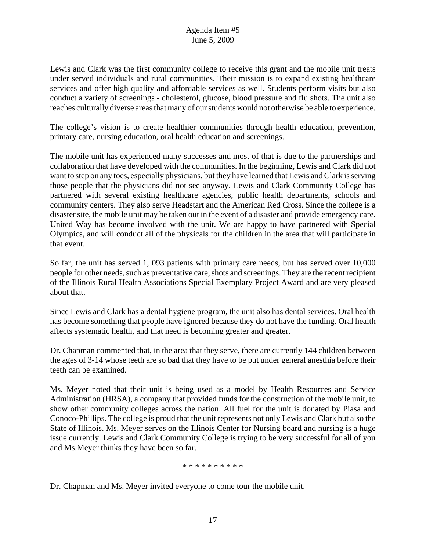Lewis and Clark was the first community college to receive this grant and the mobile unit treats under served individuals and rural communities. Their mission is to expand existing healthcare services and offer high quality and affordable services as well. Students perform visits but also conduct a variety of screenings - cholesterol, glucose, blood pressure and flu shots. The unit also reaches culturally diverse areas that many of our students would not otherwise be able to experience.

The college's vision is to create healthier communities through health education, prevention, primary care, nursing education, oral health education and screenings.

The mobile unit has experienced many successes and most of that is due to the partnerships and collaboration that have developed with the communities. In the beginning, Lewis and Clark did not want to step on any toes, especially physicians, but they have learned that Lewis and Clark is serving those people that the physicians did not see anyway. Lewis and Clark Community College has partnered with several existing healthcare agencies, public health departments, schools and community centers. They also serve Headstart and the American Red Cross. Since the college is a disaster site, the mobile unit may be taken out in the event of a disaster and provide emergency care. United Way has become involved with the unit. We are happy to have partnered with Special Olympics, and will conduct all of the physicals for the children in the area that will participate in that event.

So far, the unit has served 1, 093 patients with primary care needs, but has served over 10,000 people for other needs, such as preventative care, shots and screenings. They are the recent recipient of the Illinois Rural Health Associations Special Exemplary Project Award and are very pleased about that.

Since Lewis and Clark has a dental hygiene program, the unit also has dental services. Oral health has become something that people have ignored because they do not have the funding. Oral health affects systematic health, and that need is becoming greater and greater.

Dr. Chapman commented that, in the area that they serve, there are currently 144 children between the ages of 3-14 whose teeth are so bad that they have to be put under general anesthia before their teeth can be examined.

Ms. Meyer noted that their unit is being used as a model by Health Resources and Service Administration (HRSA), a company that provided funds for the construction of the mobile unit, to show other community colleges across the nation. All fuel for the unit is donated by Piasa and Conoco-Phillips. The college is proud that the unit represents not only Lewis and Clark but also the State of Illinois. Ms. Meyer serves on the Illinois Center for Nursing board and nursing is a huge issue currently. Lewis and Clark Community College is trying to be very successful for all of you and Ms.Meyer thinks they have been so far.

#### \* \* \* \* \* \* \* \* \* \*

Dr. Chapman and Ms. Meyer invited everyone to come tour the mobile unit.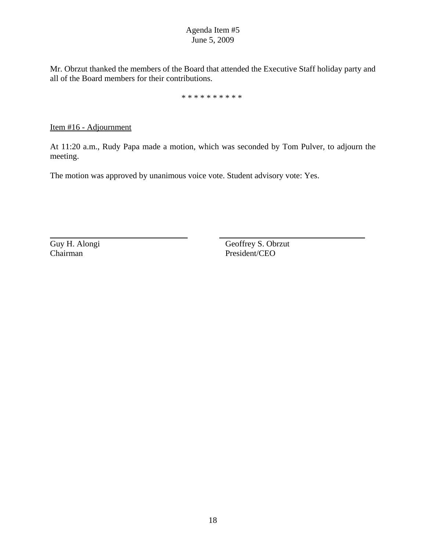Mr. Obrzut thanked the members of the Board that attended the Executive Staff holiday party and all of the Board members for their contributions.

\* \* \* \* \* \* \* \* \* \*

Item #16 - Adjournment

At 11:20 a.m., Rudy Papa made a motion, which was seconded by Tom Pulver, to adjourn the meeting.

The motion was approved by unanimous voice vote. Student advisory vote: Yes.

Guy H. Alongi Geoffrey S. Obrzut Chairman President/CEO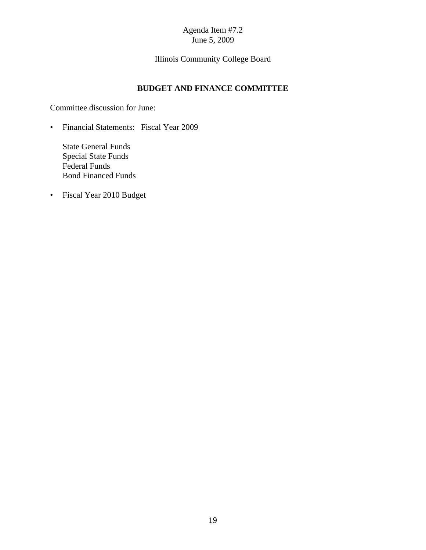# Illinois Community College Board

## **BUDGET AND FINANCE COMMITTEE**

Committee discussion for June:

• Financial Statements: Fiscal Year 2009

State General Funds Special State Funds Federal Funds Bond Financed Funds

• Fiscal Year 2010 Budget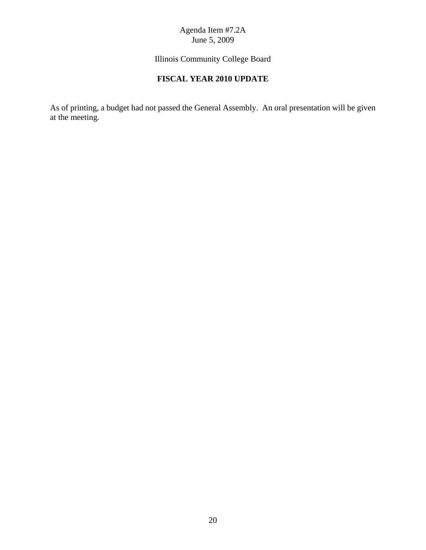Illinois Community College Board

# **FISCAL YEAR 2010 UPDATE**

As of printing, a budget had not passed the General Assembly. An oral presentation will be given at the meeting.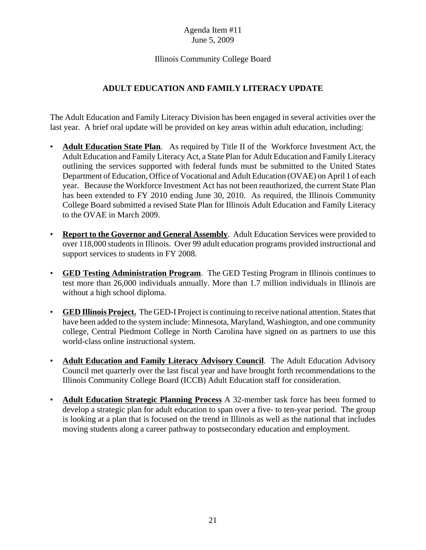Illinois Community College Board

# **ADULT EDUCATION AND FAMILY LITERACY UPDATE**

The Adult Education and Family Literacy Division has been engaged in several activities over the last year. A brief oral update will be provided on key areas within adult education, including:

- **Adult Education State Plan**. As required by Title II of the Workforce Investment Act, the Adult Education and Family Literacy Act, a State Plan for Adult Education and Family Literacy outlining the services supported with federal funds must be submitted to the United States Department of Education, Office of Vocational and Adult Education (OVAE) on April 1 of each year. Because the Workforce Investment Act has not been reauthorized, the current State Plan has been extended to FY 2010 ending June 30, 2010. As required, the Illinois Community College Board submitted a revised State Plan for Illinois Adult Education and Family Literacy to the OVAE in March 2009.
- **Report to the Governor and General Assembly**. Adult Education Services were provided to over 118,000 students in Illinois. Over 99 adult education programs provided instructional and support services to students in FY 2008.
- **GED Testing Administration Program**. The GED Testing Program in Illinois continues to test more than 26,000 individuals annually. More than 1.7 million individuals in Illinois are without a high school diploma.
- **GED Illinois Project.** The GED-I Project is continuing to receive national attention. States that have been added to the system include: Minnesota, Maryland, Washington, and one community college, Central Piedmont College in North Carolina have signed on as partners to use this world-class online instructional system.
- **Adult Education and Family Literacy Advisory Council**. The Adult Education Advisory Council met quarterly over the last fiscal year and have brought forth recommendations to the Illinois Community College Board (ICCB) Adult Education staff for consideration.
- **Adult Education Strategic Planning Process** A 32-member task force has been formed to develop a strategic plan for adult education to span over a five- to ten-year period. The group is looking at a plan that is focused on the trend in Illinois as well as the national that includes moving students along a career pathway to postsecondary education and employment.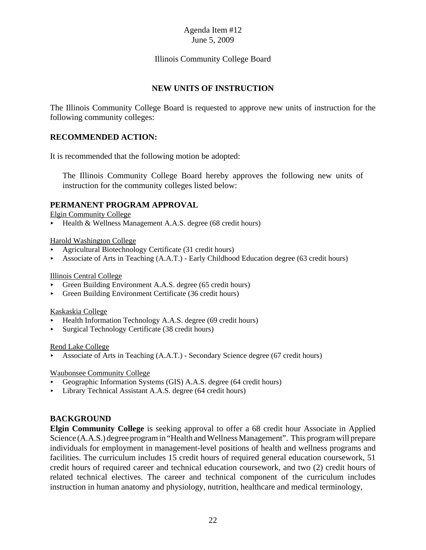## Illinois Community College Board

#### **NEW UNITS OF INSTRUCTION**

The Illinois Community College Board is requested to approve new units of instruction for the following community colleges:

#### **RECOMMENDED ACTION:**

It is recommended that the following motion be adopted:

The Illinois Community College Board hereby approves the following new units of instruction for the community colleges listed below:

#### **PERMANENT PROGRAM APPROVAL**

Elgin Community College

 $\blacktriangleright$  Health & Wellness Management A.A.S. degree (68 credit hours)

#### Harold Washington College

- < Agricultural Biotechnology Certificate (31 credit hours)
- Associate of Arts in Teaching  $(A.A.T.)$  Early Childhood Education degree (63 credit hours)

#### Illinois Central College

- Green Building Environment A.A.S. degree (65 credit hours)
- < Green Building Environment Certificate (36 credit hours)

#### Kaskaskia College

- < Health Information Technology A.A.S. degree (69 credit hours)
- < Surgical Technology Certificate (38 credit hours)

#### Rend Lake College

< Associate of Arts in Teaching (A.A.T.) - Secondary Science degree (67 credit hours)

#### Waubonsee Community College

- < Geographic Information Systems (GIS) A.A.S. degree (64 credit hours)
- < Library Technical Assistant A.A.S. degree (64 credit hours)

#### **BACKGROUND**

**Elgin Community College** is seeking approval to offer a 68 credit hour Associate in Applied Science (A.A.S.) degree program in "Health and Wellness Management". This program will prepare individuals for employment in management-level positions of health and wellness programs and facilities. The curriculum includes 15 credit hours of required general education coursework, 51 credit hours of required career and technical education coursework, and two (2) credit hours of related technical electives. The career and technical component of the curriculum includes instruction in human anatomy and physiology, nutrition, healthcare and medical terminology,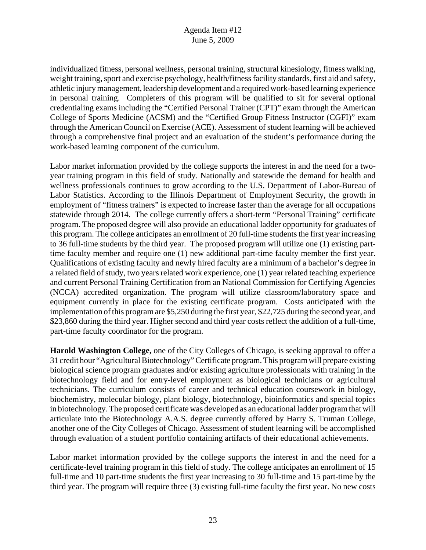individualized fitness, personal wellness, personal training, structural kinesiology, fitness walking, weight training, sport and exercise psychology, health/fitness facility standards, first aid and safety, athletic injury management, leadership development and a required work-based learning experience in personal training. Completers of this program will be qualified to sit for several optional credentialing exams including the "Certified Personal Trainer (CPT)" exam through the American College of Sports Medicine (ACSM) and the "Certified Group Fitness Instructor (CGFI)" exam through the American Council on Exercise (ACE). Assessment of student learning will be achieved through a comprehensive final project and an evaluation of the student's performance during the work-based learning component of the curriculum.

Labor market information provided by the college supports the interest in and the need for a twoyear training program in this field of study. Nationally and statewide the demand for health and wellness professionals continues to grow according to the U.S. Department of Labor-Bureau of Labor Statistics. According to the Illinois Department of Employment Security, the growth in employment of "fitness trainers" is expected to increase faster than the average for all occupations statewide through 2014. The college currently offers a short-term "Personal Training" certificate program. The proposed degree will also provide an educational ladder opportunity for graduates of this program. The college anticipates an enrollment of 20 full-time students the first year increasing to 36 full-time students by the third year. The proposed program will utilize one (1) existing parttime faculty member and require one (1) new additional part-time faculty member the first year. Qualifications of existing faculty and newly hired faculty are a minimum of a bachelor's degree in a related field of study, two years related work experience, one (1) year related teaching experience and current Personal Training Certification from an National Commission for Certifying Agencies (NCCA) accredited organization. The program will utilize classroom/laboratory space and equipment currently in place for the existing certificate program. Costs anticipated with the implementation of this program are \$5,250 during the first year, \$22,725 during the second year, and \$23,860 during the third year. Higher second and third year costs reflect the addition of a full-time, part-time faculty coordinator for the program.

**Harold Washington College,** one of the City Colleges of Chicago, is seeking approval to offer a 31 credit hour "Agricultural Biotechnology" Certificate program. This program will prepare existing biological science program graduates and/or existing agriculture professionals with training in the biotechnology field and for entry-level employment as biological technicians or agricultural technicians. The curriculum consists of career and technical education coursework in biology, biochemistry, molecular biology, plant biology, biotechnology, bioinformatics and special topics in biotechnology. The proposed certificate was developed as an educational ladder program that will articulate into the Biotechnology A.A.S. degree currently offered by Harry S. Truman College, another one of the City Colleges of Chicago. Assessment of student learning will be accomplished through evaluation of a student portfolio containing artifacts of their educational achievements.

Labor market information provided by the college supports the interest in and the need for a certificate-level training program in this field of study. The college anticipates an enrollment of 15 full-time and 10 part-time students the first year increasing to 30 full-time and 15 part-time by the third year. The program will require three (3) existing full-time faculty the first year. No new costs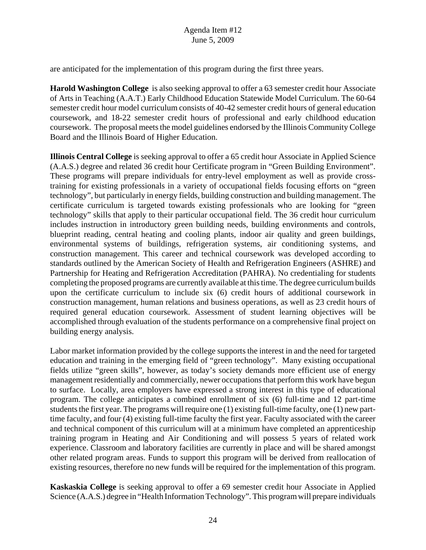are anticipated for the implementation of this program during the first three years.

**Harold Washington College** is also seeking approval to offer a 63 semester credit hour Associate of Arts in Teaching (A.A.T.) Early Childhood Education Statewide Model Curriculum. The 60-64 semester credit hour model curriculum consists of 40-42 semester credit hours of general education coursework, and 18-22 semester credit hours of professional and early childhood education coursework. The proposal meets the model guidelines endorsed by the Illinois Community College Board and the Illinois Board of Higher Education.

**Illinois Central College** is seeking approval to offer a 65 credit hour Associate in Applied Science (A.A.S.) degree and related 36 credit hour Certificate program in "Green Building Environment". These programs will prepare individuals for entry-level employment as well as provide crosstraining for existing professionals in a variety of occupational fields focusing efforts on "green technology", but particularly in energy fields, building construction and building management. The certificate curriculum is targeted towards existing professionals who are looking for "green technology" skills that apply to their particular occupational field. The 36 credit hour curriculum includes instruction in introductory green building needs, building environments and controls, blueprint reading, central heating and cooling plants, indoor air quality and green buildings, environmental systems of buildings, refrigeration systems, air conditioning systems, and construction management. This career and technical coursework was developed according to standards outlined by the American Society of Health and Refrigeration Engineers (ASHRE) and Partnership for Heating and Refrigeration Accreditation (PAHRA). No credentialing for students completing the proposed programs are currently available at this time. The degree curriculum builds upon the certificate curriculum to include six (6) credit hours of additional coursework in construction management, human relations and business operations, as well as 23 credit hours of required general education coursework. Assessment of student learning objectives will be accomplished through evaluation of the students performance on a comprehensive final project on building energy analysis.

Labor market information provided by the college supports the interest in and the need for targeted education and training in the emerging field of "green technology". Many existing occupational fields utilize "green skills", however, as today's society demands more efficient use of energy management residentially and commercially, newer occupations that perform this work have begun to surface. Locally, area employers have expressed a strong interest in this type of educational program. The college anticipates a combined enrollment of six (6) full-time and 12 part-time students the first year. The programs will require one (1) existing full-time faculty, one (1) new parttime faculty, and four (4) existing full-time faculty the first year. Faculty associated with the career and technical component of this curriculum will at a minimum have completed an apprenticeship training program in Heating and Air Conditioning and will possess 5 years of related work experience. Classroom and laboratory facilities are currently in place and will be shared amongst other related program areas. Funds to support this program will be derived from reallocation of existing resources, therefore no new funds will be required for the implementation of this program.

**Kaskaskia College** is seeking approval to offer a 69 semester credit hour Associate in Applied Science (A.A.S.) degree in "Health Information Technology". This program will prepare individuals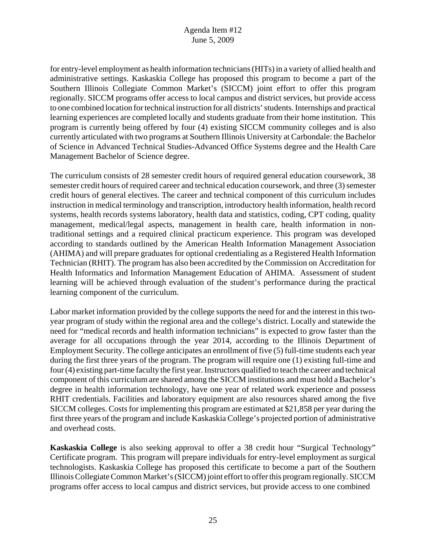for entry-level employment as health information technicians (HITs) in a variety of allied health and administrative settings. Kaskaskia College has proposed this program to become a part of the Southern Illinois Collegiate Common Market's (SICCM) joint effort to offer this program regionally. SICCM programs offer access to local campus and district services, but provide access to one combined location for technical instruction for all districts' students. Internships and practical learning experiences are completed locally and students graduate from their home institution. This program is currently being offered by four (4) existing SICCM community colleges and is also currently articulated with two programs at Southern Illinois University at Carbondale: the Bachelor of Science in Advanced Technical Studies-Advanced Office Systems degree and the Health Care Management Bachelor of Science degree.

The curriculum consists of 28 semester credit hours of required general education coursework, 38 semester credit hours of required career and technical education coursework, and three (3) semester credit hours of general electives. The career and technical component of this curriculum includes instruction in medical terminology and transcription, introductory health information, health record systems, health records systems laboratory, health data and statistics, coding, CPT coding, quality management, medical/legal aspects, management in health care, health information in nontraditional settings and a required clinical practicum experience. This program was developed according to standards outlined by the American Health Information Management Association (AHIMA) and will prepare graduates for optional credentialing as a Registered Health Information Technician (RHIT). The program has also been accredited by the Commission on Accreditation for Health Informatics and Information Management Education of AHIMA. Assessment of student learning will be achieved through evaluation of the student's performance during the practical learning component of the curriculum.

Labor market information provided by the college supports the need for and the interest in this twoyear program of study within the regional area and the college's district. Locally and statewide the need for "medical records and health information technicians" is expected to grow faster than the average for all occupations through the year 2014, according to the Illinois Department of Employment Security. The college anticipates an enrollment of five (5) full-time students each year during the first three years of the program. The program will require one (1) existing full-time and four (4) existing part-time faculty the first year. Instructors qualified to teach the career and technical component of this curriculum are shared among the SICCM institutions and must hold a Bachelor's degree in health information technology, have one year of related work experience and possess RHIT credentials. Facilities and laboratory equipment are also resources shared among the five SICCM colleges. Costs for implementing this program are estimated at \$21,858 per year during the first three years of the program and include Kaskaskia College's projected portion of administrative and overhead costs.

**Kaskaskia College** is also seeking approval to offer a 38 credit hour "Surgical Technology" Certificate program. This program will prepare individuals for entry-level employment as surgical technologists. Kaskaskia College has proposed this certificate to become a part of the Southern Illinois Collegiate Common Market's (SICCM) joint effort to offer this program regionally. SICCM programs offer access to local campus and district services, but provide access to one combined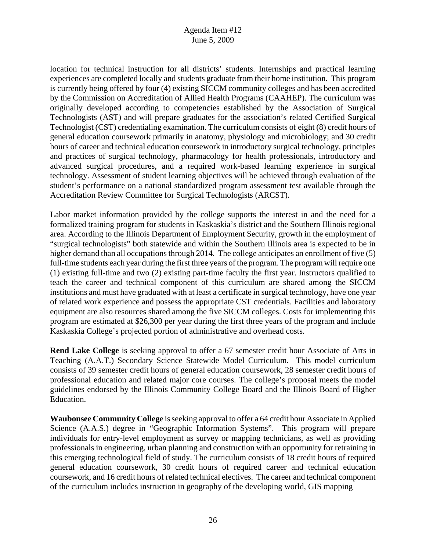location for technical instruction for all districts' students. Internships and practical learning experiences are completed locally and students graduate from their home institution. This program is currently being offered by four (4) existing SICCM community colleges and has been accredited by the Commission on Accreditation of Allied Health Programs (CAAHEP). The curriculum was originally developed according to competencies established by the Association of Surgical Technologists (AST) and will prepare graduates for the association's related Certified Surgical Technologist (CST) credentialing examination. The curriculum consists of eight (8) credit hours of general education coursework primarily in anatomy, physiology and microbiology; and 30 credit hours of career and technical education coursework in introductory surgical technology, principles and practices of surgical technology, pharmacology for health professionals, introductory and advanced surgical procedures, and a required work-based learning experience in surgical technology. Assessment of student learning objectives will be achieved through evaluation of the student's performance on a national standardized program assessment test available through the Accreditation Review Committee for Surgical Technologists (ARCST).

Labor market information provided by the college supports the interest in and the need for a formalized training program for students in Kaskaskia's district and the Southern Illinois regional area. According to the Illinois Department of Employment Security, growth in the employment of "surgical technologists" both statewide and within the Southern Illinois area is expected to be in higher demand than all occupations through 2014. The college anticipates an enrollment of five (5) full-time students each year during the first three years of the program. The program will require one (1) existing full-time and two (2) existing part-time faculty the first year. Instructors qualified to teach the career and technical component of this curriculum are shared among the SICCM institutions and must have graduated with at least a certificate in surgical technology, have one year of related work experience and possess the appropriate CST credentials. Facilities and laboratory equipment are also resources shared among the five SICCM colleges. Costs for implementing this program are estimated at \$26,300 per year during the first three years of the program and include Kaskaskia College's projected portion of administrative and overhead costs.

**Rend Lake College** is seeking approval to offer a 67 semester credit hour Associate of Arts in Teaching (A.A.T.) Secondary Science Statewide Model Curriculum. This model curriculum consists of 39 semester credit hours of general education coursework, 28 semester credit hours of professional education and related major core courses. The college's proposal meets the model guidelines endorsed by the Illinois Community College Board and the Illinois Board of Higher Education.

**Waubonsee Community College** is seeking approval to offer a 64 credit hour Associate in Applied Science (A.A.S.) degree in "Geographic Information Systems". This program will prepare individuals for entry-level employment as survey or mapping technicians, as well as providing professionals in engineering, urban planning and construction with an opportunity for retraining in this emerging technological field of study. The curriculum consists of 18 credit hours of required general education coursework, 30 credit hours of required career and technical education coursework, and 16 credit hours of related technical electives. The career and technical component of the curriculum includes instruction in geography of the developing world, GIS mapping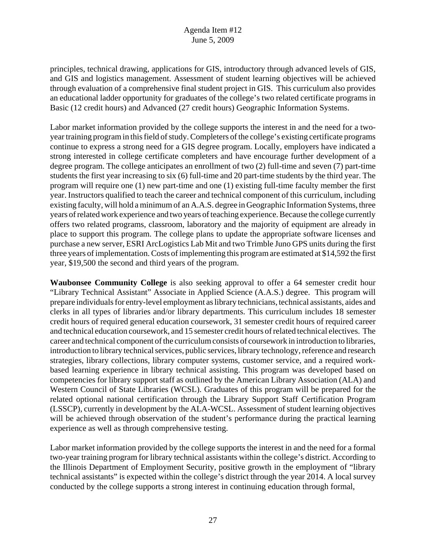principles, technical drawing, applications for GIS, introductory through advanced levels of GIS, and GIS and logistics management. Assessment of student learning objectives will be achieved through evaluation of a comprehensive final student project in GIS. This curriculum also provides an educational ladder opportunity for graduates of the college's two related certificate programs in Basic (12 credit hours) and Advanced (27 credit hours) Geographic Information Systems.

Labor market information provided by the college supports the interest in and the need for a twoyear training program in this field of study. Completers of the college's existing certificate programs continue to express a strong need for a GIS degree program. Locally, employers have indicated a strong interested in college certificate completers and have encourage further development of a degree program. The college anticipates an enrollment of two (2) full-time and seven (7) part-time students the first year increasing to six (6) full-time and 20 part-time students by the third year. The program will require one (1) new part-time and one (1) existing full-time faculty member the first year. Instructors qualified to teach the career and technical component of this curriculum, including existing faculty, will hold a minimum of an A.A.S. degree in Geographic Information Systems, three years of related work experience and two years of teaching experience. Because the college currently offers two related programs, classroom, laboratory and the majority of equipment are already in place to support this program. The college plans to update the appropriate software licenses and purchase a new server, ESRI ArcLogistics Lab Mit and two Trimble Juno GPS units during the first three years of implementation. Costs of implementing this program are estimated at \$14,592 the first year, \$19,500 the second and third years of the program.

**Waubonsee Community College** is also seeking approval to offer a 64 semester credit hour "Library Technical Assistant" Associate in Applied Science (A.A.S.) degree. This program will prepare individuals for entry-level employment as library technicians, technical assistants, aides and clerks in all types of libraries and/or library departments. This curriculum includes 18 semester credit hours of required general education coursework, 31 semester credit hours of required career and technical education coursework, and 15 semester credit hours of related technical electives. The career and technical component of the curriculum consists of coursework in introduction to libraries, introduction to library technical services, public services, library technology, reference and research strategies, library collections, library computer systems, customer service, and a required workbased learning experience in library technical assisting. This program was developed based on competencies for library support staff as outlined by the American Library Association (ALA) and Western Council of State Libraries (WCSL). Graduates of this program will be prepared for the related optional national certification through the Library Support Staff Certification Program (LSSCP), currently in development by the ALA-WCSL. Assessment of student learning objectives will be achieved through observation of the student's performance during the practical learning experience as well as through comprehensive testing.

Labor market information provided by the college supports the interest in and the need for a formal two-year training program for library technical assistants within the college's district. According to the Illinois Department of Employment Security, positive growth in the employment of "library technical assistants" is expected within the college's district through the year 2014. A local survey conducted by the college supports a strong interest in continuing education through formal,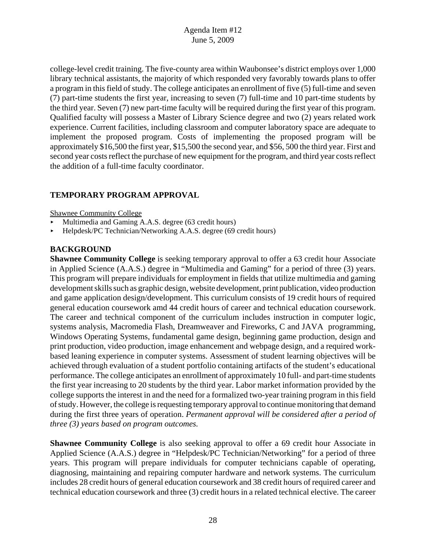college-level credit training. The five-county area within Waubonsee's district employs over 1,000 library technical assistants, the majority of which responded very favorably towards plans to offer a program in this field of study. The college anticipates an enrollment of five (5) full-time and seven (7) part-time students the first year, increasing to seven (7) full-time and 10 part-time students by the third year. Seven (7) new part-time faculty will be required during the first year of this program. Qualified faculty will possess a Master of Library Science degree and two (2) years related work experience. Current facilities, including classroom and computer laboratory space are adequate to implement the proposed program. Costs of implementing the proposed program will be approximately \$16,500 the first year, \$15,500 the second year, and \$56, 500 the third year. First and second year costs reflect the purchase of new equipment for the program, and third year costs reflect the addition of a full-time faculty coordinator.

# **TEMPORARY PROGRAM APPROVAL**

#### Shawnee Community College

- < Multimedia and Gaming A.A.S. degree (63 credit hours)
- < Helpdesk/PC Technician/Networking A.A.S. degree (69 credit hours)

## **BACKGROUND**

**Shawnee Community College** is seeking temporary approval to offer a 63 credit hour Associate in Applied Science (A.A.S.) degree in "Multimedia and Gaming" for a period of three (3) years. This program will prepare individuals for employment in fields that utilize multimedia and gaming development skills such as graphic design, website development, print publication, video production and game application design/development. This curriculum consists of 19 credit hours of required general education coursework amd 44 credit hours of career and technical education coursework. The career and technical component of the curriculum includes instruction in computer logic, systems analysis, Macromedia Flash, Dreamweaver and Fireworks, C and JAVA programming, Windows Operating Systems, fundamental game design, beginning game production, design and print production, video production, image enhancement and webpage design, and a required workbased leaning experience in computer systems. Assessment of student learning objectives will be achieved through evaluation of a student portfolio containing artifacts of the student's educational performance. The college anticipates an enrollment of approximately 10 full- and part-time students the first year increasing to 20 students by the third year. Labor market information provided by the college supports the interest in and the need for a formalized two-year training program in this field of study. However, the college is requesting temporary approval to continue monitoring that demand during the first three years of operation. *Permanent approval will be considered after a period of three (3) years based on program outcomes.* 

**Shawnee Community College** is also seeking approval to offer a 69 credit hour Associate in Applied Science (A.A.S.) degree in "Helpdesk/PC Technician/Networking" for a period of three years. This program will prepare individuals for computer technicians capable of operating, diagnosing, maintaining and repairing computer hardware and network systems. The curriculum includes 28 credit hours of general education coursework and 38 credit hours of required career and technical education coursework and three (3) credit hours in a related technical elective. The career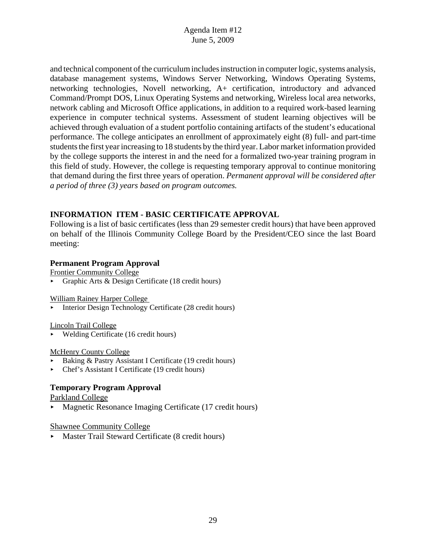and technical component of the curriculum includes instruction in computer logic, systems analysis, database management systems, Windows Server Networking, Windows Operating Systems, networking technologies, Novell networking, A+ certification, introductory and advanced Command/Prompt DOS, Linux Operating Systems and networking, Wireless local area networks, network cabling and Microsoft Office applications, in addition to a required work-based learning experience in computer technical systems. Assessment of student learning objectives will be achieved through evaluation of a student portfolio containing artifacts of the student's educational performance. The college anticipates an enrollment of approximately eight (8) full- and part-time students the first year increasing to 18 students by the third year. Labor market information provided by the college supports the interest in and the need for a formalized two-year training program in this field of study. However, the college is requesting temporary approval to continue monitoring that demand during the first three years of operation. *Permanent approval will be considered after a period of three (3) years based on program outcomes.* 

# **INFORMATION ITEM - BASIC CERTIFICATE APPROVAL**

Following is a list of basic certificates (less than 29 semester credit hours) that have been approved on behalf of the Illinois Community College Board by the President/CEO since the last Board meeting:

## **Permanent Program Approval**

Frontier Community College

< Graphic Arts & Design Certificate (18 credit hours)

William Rainey Harper College

< Interior Design Technology Certificate (28 credit hours)

Lincoln Trail College

 $\blacktriangleright$  Welding Certificate (16 credit hours)

#### McHenry County College

- Baking & Pastry Assistant I Certificate (19 credit hours)
- Chef's Assistant I Certificate (19 credit hours)

## **Temporary Program Approval**

Parkland College

 $\blacktriangleright$  Magnetic Resonance Imaging Certificate (17 credit hours)

Shawnee Community College

< Master Trail Steward Certificate (8 credit hours)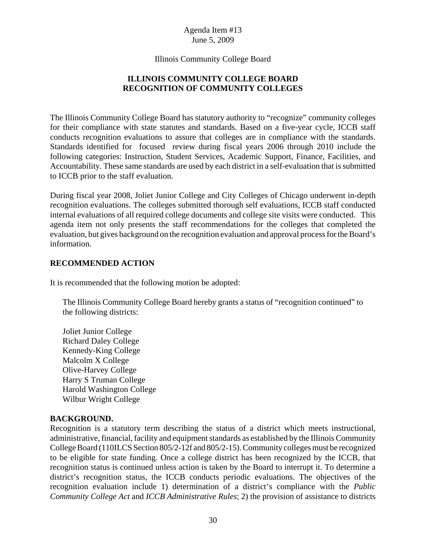Illinois Community College Board

# **ILLINOIS COMMUNITY COLLEGE BOARD RECOGNITION OF COMMUNITY COLLEGES**

The Illinois Community College Board has statutory authority to "recognize" community colleges for their compliance with state statutes and standards. Based on a five-year cycle, ICCB staff conducts recognition evaluations to assure that colleges are in compliance with the standards. Standards identified for focused review during fiscal years 2006 through 2010 include the following categories: Instruction, Student Services, Academic Support, Finance, Facilities, and Accountability. These same standards are used by each district in a self-evaluation that is submitted to ICCB prior to the staff evaluation.

During fiscal year 2008, Joliet Junior College and City Colleges of Chicago underwent in-depth recognition evaluations. The colleges submitted thorough self evaluations, ICCB staff conducted internal evaluations of all required college documents and college site visits were conducted. This agenda item not only presents the staff recommendations for the colleges that completed the evaluation, but gives background on the recognition evaluation and approval process for the Board's information.

## **RECOMMENDED ACTION**

It is recommended that the following motion be adopted:

The Illinois Community College Board hereby grants a status of "recognition continued" to the following districts:

Joliet Junior College Richard Daley College Kennedy-King College Malcolm X College Olive-Harvey College Harry S Truman College Harold Washington College Wilbur Wright College

## **BACKGROUND.**

Recognition is a statutory term describing the status of a district which meets instructional, administrative, financial, facility and equipment standards as established by the Illinois Community College Board (110ILCS Section 805/2-12f and 805/2-15). Community colleges must be recognized to be eligible for state funding. Once a college district has been recognized by the ICCB, that recognition status is continued unless action is taken by the Board to interrupt it. To determine a district's recognition status, the ICCB conducts periodic evaluations. The objectives of the recognition evaluation include 1) determination of a district's compliance with the *Public Community College Act* and *ICCB Administrative Rules*; 2) the provision of assistance to districts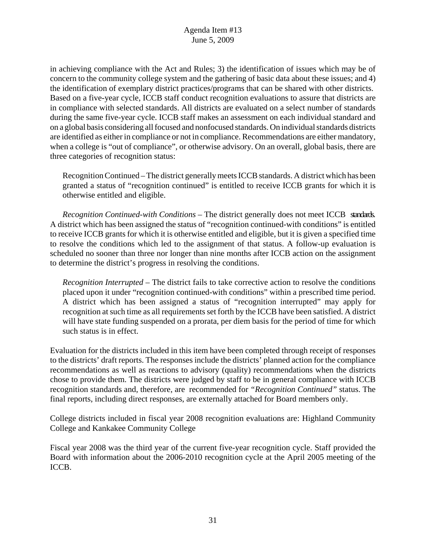in achieving compliance with the Act and Rules; 3) the identification of issues which may be of concern to the community college system and the gathering of basic data about these issues; and 4) the identification of exemplary district practices/programs that can be shared with other districts. Based on a five-year cycle, ICCB staff conduct recognition evaluations to assure that districts are in compliance with selected standards. All districts are evaluated on a select number of standards during the same five-year cycle. ICCB staff makes an assessment on each individual standard and on a global basis considering all focused and nonfocused standards. On individual standards districts are identified as either in compliance or not in compliance. Recommendations are either mandatory, when a college is "out of compliance", or otherwise advisory. On an overall, global basis, there are three categories of recognition status:

Recognition Continued – The district generally meets ICCB standards. A district which has been granted a status of "recognition continued" is entitled to receive ICCB grants for which it is otherwise entitled and eligible.

*Recognition Continued-with Conditions* – The district generally does not meet ICCB standards. A district which has been assigned the status of "recognition continued-with conditions" is entitled to receive ICCB grants for which it is otherwise entitled and eligible, but it is given a specified time to resolve the conditions which led to the assignment of that status. A follow-up evaluation is scheduled no sooner than three nor longer than nine months after ICCB action on the assignment to determine the district's progress in resolving the conditions.

*Recognition Interrupted* – The district fails to take corrective action to resolve the conditions placed upon it under "recognition continued-with conditions" within a prescribed time period. A district which has been assigned a status of "recognition interrupted" may apply for recognition at such time as all requirements set forth by the ICCB have been satisfied. A district will have state funding suspended on a prorata, per diem basis for the period of time for which such status is in effect.

Evaluation for the districts included in this item have been completed through receipt of responses to the districts' draft reports. The responses include the districts' planned action for the compliance recommendations as well as reactions to advisory (quality) recommendations when the districts chose to provide them. The districts were judged by staff to be in general compliance with ICCB recognition standards and, therefore, are recommended for *"Recognition Continued"* status. The final reports, including direct responses, are externally attached for Board members only.

College districts included in fiscal year 2008 recognition evaluations are: Highland Community College and Kankakee Community College

Fiscal year 2008 was the third year of the current five-year recognition cycle. Staff provided the Board with information about the 2006-2010 recognition cycle at the April 2005 meeting of the ICCB.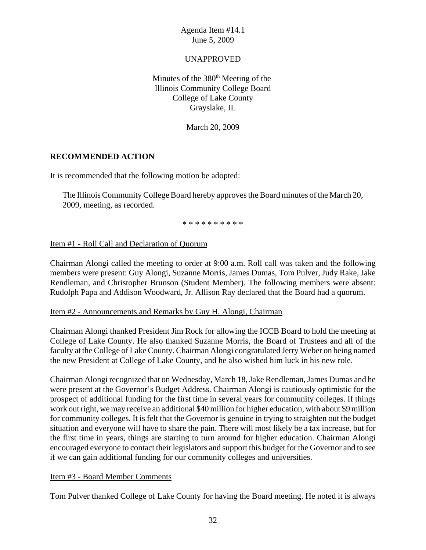## UNAPPROVED

Minutes of the  $380<sup>th</sup>$  Meeting of the Illinois Community College Board College of Lake County Grayslake, IL

March 20, 2009

## **RECOMMENDED ACTION**

It is recommended that the following motion be adopted:

The Illinois Community College Board hereby approves the Board minutes of the March 20, 2009, meeting, as recorded.

\* \* \* \* \* \* \* \* \* \*

#### Item #1 - Roll Call and Declaration of Quorum

Chairman Alongi called the meeting to order at 9:00 a.m. Roll call was taken and the following members were present: Guy Alongi, Suzanne Morris, James Dumas, Tom Pulver, Judy Rake, Jake Rendleman, and Christopher Brunson (Student Member). The following members were absent: Rudolph Papa and Addison Woodward, Jr. Allison Ray declared that the Board had a quorum.

#### Item #2 - Announcements and Remarks by Guy H. Alongi, Chairman

Chairman Alongi thanked President Jim Rock for allowing the ICCB Board to hold the meeting at College of Lake County. He also thanked Suzanne Morris, the Board of Trustees and all of the faculty at the College of Lake County. Chairman Alongi congratulated Jerry Weber on being named the new President at College of Lake County, and he also wished him luck in his new role.

Chairman Alongi recognized that on Wednesday, March 18, Jake Rendleman, James Dumas and he were present at the Governor's Budget Address. Chairman Alongi is cautiously optimistic for the prospect of additional funding for the first time in several years for community colleges. If things work out right, we may receive an additional \$40 million for higher education, with about \$9 million for community colleges. It is felt that the Governor is genuine in trying to straighten out the budget situation and everyone will have to share the pain. There will most likely be a tax increase, but for the first time in years, things are starting to turn around for higher education. Chairman Alongi encouraged everyone to contact their legislators and support this budget for the Governor and to see if we can gain additional funding for our community colleges and universities.

#### Item #3 - Board Member Comments

Tom Pulver thanked College of Lake County for having the Board meeting. He noted it is always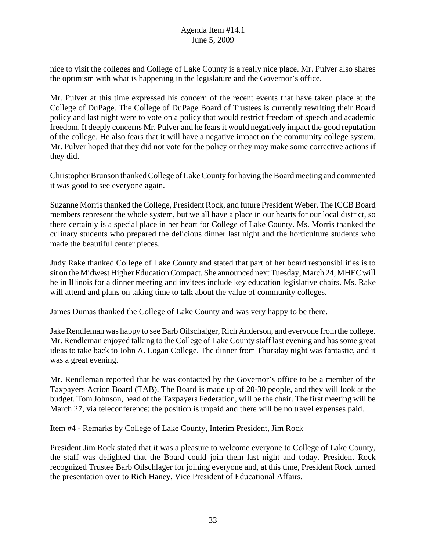nice to visit the colleges and College of Lake County is a really nice place. Mr. Pulver also shares the optimism with what is happening in the legislature and the Governor's office.

Mr. Pulver at this time expressed his concern of the recent events that have taken place at the College of DuPage. The College of DuPage Board of Trustees is currently rewriting their Board policy and last night were to vote on a policy that would restrict freedom of speech and academic freedom. It deeply concerns Mr. Pulver and he fears it would negatively impact the good reputation of the college. He also fears that it will have a negative impact on the community college system. Mr. Pulver hoped that they did not vote for the policy or they may make some corrective actions if they did.

Christopher Brunson thanked College of Lake County for having the Board meeting and commented it was good to see everyone again.

Suzanne Morris thanked the College, President Rock, and future President Weber. The ICCB Board members represent the whole system, but we all have a place in our hearts for our local district, so there certainly is a special place in her heart for College of Lake County. Ms. Morris thanked the culinary students who prepared the delicious dinner last night and the horticulture students who made the beautiful center pieces.

Judy Rake thanked College of Lake County and stated that part of her board responsibilities is to sit on the Midwest Higher Education Compact. She announced next Tuesday, March 24, MHEC will be in Illinois for a dinner meeting and invitees include key education legislative chairs. Ms. Rake will attend and plans on taking time to talk about the value of community colleges.

James Dumas thanked the College of Lake County and was very happy to be there.

Jake Rendleman was happy to see Barb Oilschalger, Rich Anderson, and everyone from the college. Mr. Rendleman enjoyed talking to the College of Lake County staff last evening and has some great ideas to take back to John A. Logan College. The dinner from Thursday night was fantastic, and it was a great evening.

Mr. Rendleman reported that he was contacted by the Governor's office to be a member of the Taxpayers Action Board (TAB). The Board is made up of 20-30 people, and they will look at the budget. Tom Johnson, head of the Taxpayers Federation, will be the chair. The first meeting will be March 27, via teleconference; the position is unpaid and there will be no travel expenses paid.

#### Item #4 - Remarks by College of Lake County, Interim President, Jim Rock

President Jim Rock stated that it was a pleasure to welcome everyone to College of Lake County, the staff was delighted that the Board could join them last night and today. President Rock recognized Trustee Barb Oilschlager for joining everyone and, at this time, President Rock turned the presentation over to Rich Haney, Vice President of Educational Affairs.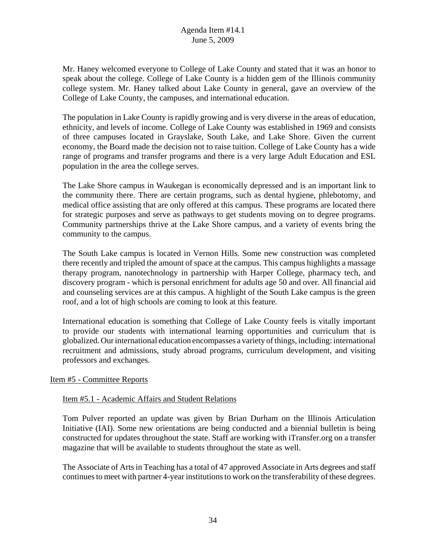Mr. Haney welcomed everyone to College of Lake County and stated that it was an honor to speak about the college. College of Lake County is a hidden gem of the Illinois community college system. Mr. Haney talked about Lake County in general, gave an overview of the College of Lake County, the campuses, and international education.

The population in Lake County is rapidly growing and is very diverse in the areas of education, ethnicity, and levels of income. College of Lake County was established in 1969 and consists of three campuses located in Grayslake, South Lake, and Lake Shore. Given the current economy, the Board made the decision not to raise tuition. College of Lake County has a wide range of programs and transfer programs and there is a very large Adult Education and ESL population in the area the college serves.

The Lake Shore campus in Waukegan is economically depressed and is an important link to the community there. There are certain programs, such as dental hygiene, phlebotomy, and medical office assisting that are only offered at this campus. These programs are located there for strategic purposes and serve as pathways to get students moving on to degree programs. Community partnerships thrive at the Lake Shore campus, and a variety of events bring the community to the campus.

The South Lake campus is located in Vernon Hills. Some new construction was completed there recently and tripled the amount of space at the campus. This campus highlights a massage therapy program, nanotechnology in partnership with Harper College, pharmacy tech, and discovery program - which is personal enrichment for adults age 50 and over. All financial aid and counseling services are at this campus. A highlight of the South Lake campus is the green roof, and a lot of high schools are coming to look at this feature.

International education is something that College of Lake County feels is vitally important to provide our students with international learning opportunities and curriculum that is globalized. Our international education encompasses a variety of things, including: international recruitment and admissions, study abroad programs, curriculum development, and visiting professors and exchanges.

## Item #5 - Committee Reports

## Item #5.1 - Academic Affairs and Student Relations

Tom Pulver reported an update was given by Brian Durham on the Illinois Articulation Initiative (IAI). Some new orientations are being conducted and a biennial bulletin is being constructed for updates throughout the state. Staff are working with iTransfer.org on a transfer magazine that will be available to students throughout the state as well.

The Associate of Arts in Teaching has a total of 47 approved Associate in Arts degrees and staff continues to meet with partner 4-year institutions to work on the transferability of these degrees.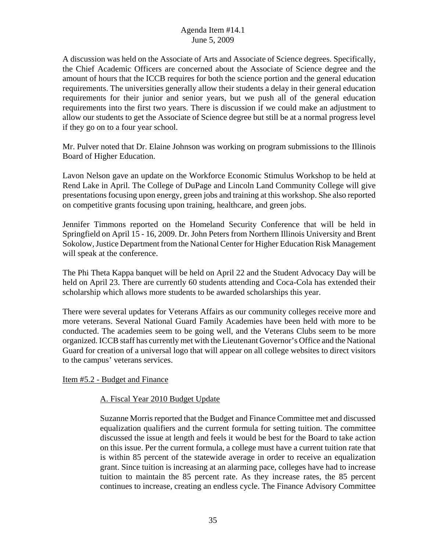A discussion was held on the Associate of Arts and Associate of Science degrees. Specifically, the Chief Academic Officers are concerned about the Associate of Science degree and the amount of hours that the ICCB requires for both the science portion and the general education requirements. The universities generally allow their students a delay in their general education requirements for their junior and senior years, but we push all of the general education requirements into the first two years. There is discussion if we could make an adjustment to allow our students to get the Associate of Science degree but still be at a normal progress level if they go on to a four year school.

Mr. Pulver noted that Dr. Elaine Johnson was working on program submissions to the Illinois Board of Higher Education.

Lavon Nelson gave an update on the Workforce Economic Stimulus Workshop to be held at Rend Lake in April. The College of DuPage and Lincoln Land Community College will give presentations focusing upon energy, green jobs and training at this workshop. She also reported on competitive grants focusing upon training, healthcare, and green jobs.

Jennifer Timmons reported on the Homeland Security Conference that will be held in Springfield on April 15 - 16, 2009. Dr. John Peters from Northern Illinois University and Brent Sokolow, Justice Department from the National Center for Higher Education Risk Management will speak at the conference.

The Phi Theta Kappa banquet will be held on April 22 and the Student Advocacy Day will be held on April 23. There are currently 60 students attending and Coca-Cola has extended their scholarship which allows more students to be awarded scholarships this year.

There were several updates for Veterans Affairs as our community colleges receive more and more veterans. Several National Guard Family Academies have been held with more to be conducted. The academies seem to be going well, and the Veterans Clubs seem to be more organized. ICCB staff has currently met with the Lieutenant Governor's Office and the National Guard for creation of a universal logo that will appear on all college websites to direct visitors to the campus' veterans services.

Item #5.2 - Budget and Finance

## A. Fiscal Year 2010 Budget Update

Suzanne Morris reported that the Budget and Finance Committee met and discussed equalization qualifiers and the current formula for setting tuition. The committee discussed the issue at length and feels it would be best for the Board to take action on this issue. Per the current formula, a college must have a current tuition rate that is within 85 percent of the statewide average in order to receive an equalization grant. Since tuition is increasing at an alarming pace, colleges have had to increase tuition to maintain the 85 percent rate. As they increase rates, the 85 percent continues to increase, creating an endless cycle. The Finance Advisory Committee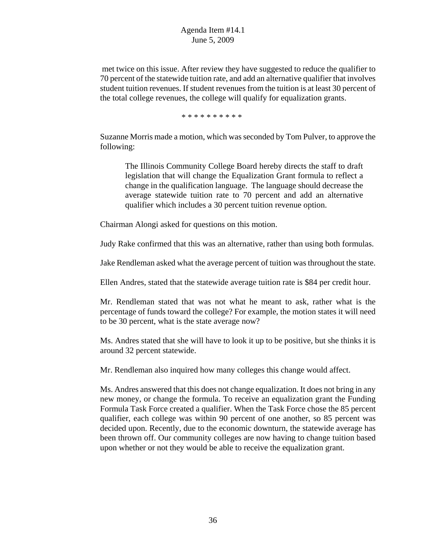met twice on this issue. After review they have suggested to reduce the qualifier to 70 percent of the statewide tuition rate, and add an alternative qualifier that involves student tuition revenues. If student revenues from the tuition is at least 30 percent of the total college revenues, the college will qualify for equalization grants.

\* \* \* \* \* \* \* \* \* \*

Suzanne Morris made a motion, which was seconded by Tom Pulver, to approve the following:

The Illinois Community College Board hereby directs the staff to draft legislation that will change the Equalization Grant formula to reflect a change in the qualification language. The language should decrease the average statewide tuition rate to 70 percent and add an alternative qualifier which includes a 30 percent tuition revenue option.

Chairman Alongi asked for questions on this motion.

Judy Rake confirmed that this was an alternative, rather than using both formulas.

Jake Rendleman asked what the average percent of tuition was throughout the state.

Ellen Andres, stated that the statewide average tuition rate is \$84 per credit hour.

Mr. Rendleman stated that was not what he meant to ask, rather what is the percentage of funds toward the college? For example, the motion states it will need to be 30 percent, what is the state average now?

Ms. Andres stated that she will have to look it up to be positive, but she thinks it is around 32 percent statewide.

Mr. Rendleman also inquired how many colleges this change would affect.

Ms. Andres answered that this does not change equalization. It does not bring in any new money, or change the formula. To receive an equalization grant the Funding Formula Task Force created a qualifier. When the Task Force chose the 85 percent qualifier, each college was within 90 percent of one another, so 85 percent was decided upon. Recently, due to the economic downturn, the statewide average has been thrown off. Our community colleges are now having to change tuition based upon whether or not they would be able to receive the equalization grant.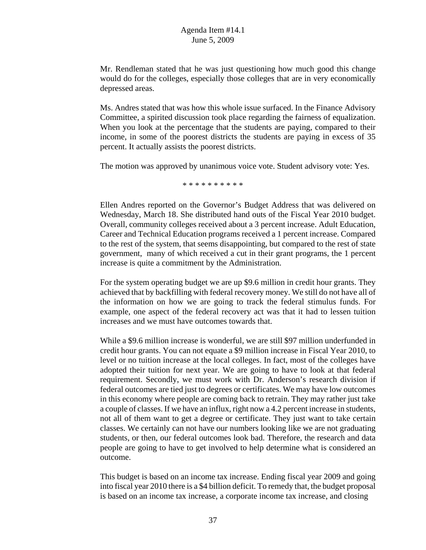Mr. Rendleman stated that he was just questioning how much good this change would do for the colleges, especially those colleges that are in very economically depressed areas.

Ms. Andres stated that was how this whole issue surfaced. In the Finance Advisory Committee, a spirited discussion took place regarding the fairness of equalization. When you look at the percentage that the students are paying, compared to their income, in some of the poorest districts the students are paying in excess of 35 percent. It actually assists the poorest districts.

The motion was approved by unanimous voice vote. Student advisory vote: Yes.

\* \* \* \* \* \* \* \* \* \*

Ellen Andres reported on the Governor's Budget Address that was delivered on Wednesday, March 18. She distributed hand outs of the Fiscal Year 2010 budget. Overall, community colleges received about a 3 percent increase. Adult Education, Career and Technical Education programs received a 1 percent increase. Compared to the rest of the system, that seems disappointing, but compared to the rest of state government, many of which received a cut in their grant programs, the 1 percent increase is quite a commitment by the Administration.

For the system operating budget we are up \$9.6 million in credit hour grants. They achieved that by backfilling with federal recovery money. We still do not have all of the information on how we are going to track the federal stimulus funds. For example, one aspect of the federal recovery act was that it had to lessen tuition increases and we must have outcomes towards that.

While a \$9.6 million increase is wonderful, we are still \$97 million underfunded in credit hour grants. You can not equate a \$9 million increase in Fiscal Year 2010, to level or no tuition increase at the local colleges. In fact, most of the colleges have adopted their tuition for next year. We are going to have to look at that federal requirement. Secondly, we must work with Dr. Anderson's research division if federal outcomes are tied just to degrees or certificates. We may have low outcomes in this economy where people are coming back to retrain. They may rather just take a couple of classes. If we have an influx, right now a 4.2 percent increase in students, not all of them want to get a degree or certificate. They just want to take certain classes. We certainly can not have our numbers looking like we are not graduating students, or then, our federal outcomes look bad. Therefore, the research and data people are going to have to get involved to help determine what is considered an outcome.

This budget is based on an income tax increase. Ending fiscal year 2009 and going into fiscal year 2010 there is a \$4 billion deficit. To remedy that, the budget proposal is based on an income tax increase, a corporate income tax increase, and closing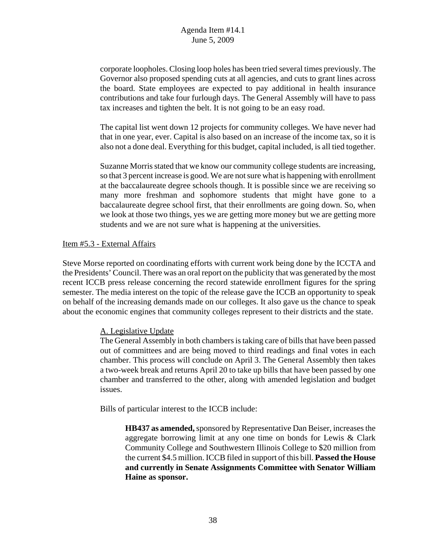corporate loopholes. Closing loop holes has been tried several times previously. The Governor also proposed spending cuts at all agencies, and cuts to grant lines across the board. State employees are expected to pay additional in health insurance contributions and take four furlough days. The General Assembly will have to pass tax increases and tighten the belt. It is not going to be an easy road.

The capital list went down 12 projects for community colleges. We have never had that in one year, ever. Capital is also based on an increase of the income tax, so it is also not a done deal. Everything for this budget, capital included, is all tied together.

Suzanne Morris stated that we know our community college students are increasing, so that 3 percent increase is good. We are not sure what is happening with enrollment at the baccalaureate degree schools though. It is possible since we are receiving so many more freshman and sophomore students that might have gone to a baccalaureate degree school first, that their enrollments are going down. So, when we look at those two things, yes we are getting more money but we are getting more students and we are not sure what is happening at the universities.

#### Item #5.3 - External Affairs

Steve Morse reported on coordinating efforts with current work being done by the ICCTA and the Presidents' Council. There was an oral report on the publicity that was generated by the most recent ICCB press release concerning the record statewide enrollment figures for the spring semester. The media interest on the topic of the release gave the ICCB an opportunity to speak on behalf of the increasing demands made on our colleges. It also gave us the chance to speak about the economic engines that community colleges represent to their districts and the state.

## A. Legislative Update

The General Assembly in both chambers is taking care of bills that have been passed out of committees and are being moved to third readings and final votes in each chamber. This process will conclude on April 3. The General Assembly then takes a two-week break and returns April 20 to take up bills that have been passed by one chamber and transferred to the other, along with amended legislation and budget issues.

Bills of particular interest to the ICCB include:

**HB437 as amended,** sponsored by Representative Dan Beiser, increases the aggregate borrowing limit at any one time on bonds for Lewis & Clark Community College and Southwestern Illinois College to \$20 million from the current \$4.5 million. ICCB filed in support of this bill. **Passed the House and currently in Senate Assignments Committee with Senator William Haine as sponsor.**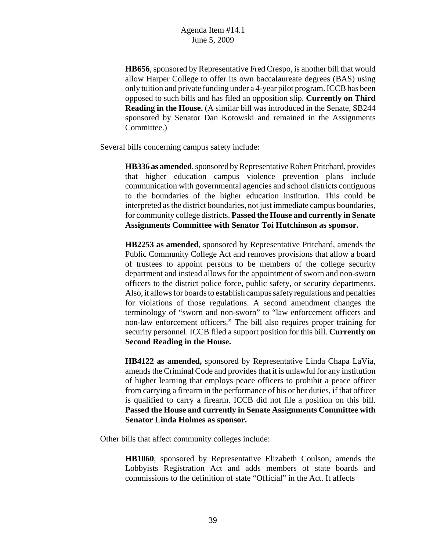**HB656**, sponsored by Representative Fred Crespo, is another bill that would allow Harper College to offer its own baccalaureate degrees (BAS) using only tuition and private funding under a 4-year pilot program. ICCB has been opposed to such bills and has filed an opposition slip. **Currently on Third Reading in the House.** (A similar bill was introduced in the Senate, SB244 sponsored by Senator Dan Kotowski and remained in the Assignments Committee.)

Several bills concerning campus safety include:

**HB336 as amended**, sponsored by Representative Robert Pritchard, provides that higher education campus violence prevention plans include communication with governmental agencies and school districts contiguous to the boundaries of the higher education institution. This could be interpreted as the district boundaries, not just immediate campus boundaries, for community college districts. **Passed the House and currently in Senate Assignments Committee with Senator Toi Hutchinson as sponsor.**

**HB2253 as amended**, sponsored by Representative Pritchard, amends the Public Community College Act and removes provisions that allow a board of trustees to appoint persons to be members of the college security department and instead allows for the appointment of sworn and non-sworn officers to the district police force, public safety, or security departments. Also, it allows for boards to establish campus safety regulations and penalties for violations of those regulations. A second amendment changes the terminology of "sworn and non-sworn" to "law enforcement officers and non-law enforcement officers." The bill also requires proper training for security personnel. ICCB filed a support position for this bill. **Currently on Second Reading in the House.**

**HB4122 as amended,** sponsored by Representative Linda Chapa LaVia, amends the Criminal Code and provides that it is unlawful for any institution of higher learning that employs peace officers to prohibit a peace officer from carrying a firearm in the performance of his or her duties, if that officer is qualified to carry a firearm. ICCB did not file a position on this bill. **Passed the House and currently in Senate Assignments Committee with Senator Linda Holmes as sponsor.**

Other bills that affect community colleges include:

**HB1060**, sponsored by Representative Elizabeth Coulson, amends the Lobbyists Registration Act and adds members of state boards and commissions to the definition of state "Official" in the Act. It affects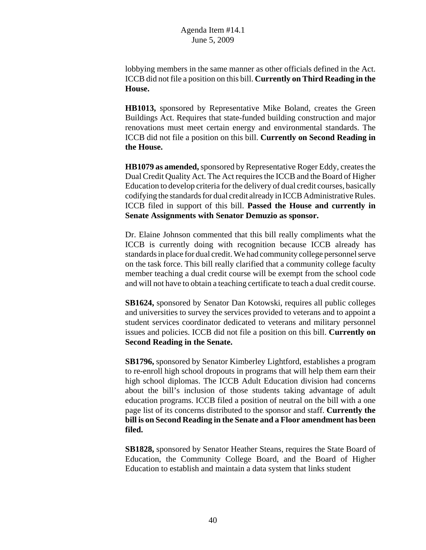lobbying members in the same manner as other officials defined in the Act. ICCB did not file a position on this bill. **Currently on Third Reading in the House.**

**HB1013,** sponsored by Representative Mike Boland, creates the Green Buildings Act. Requires that state-funded building construction and major renovations must meet certain energy and environmental standards. The ICCB did not file a position on this bill. **Currently on Second Reading in the House.**

**HB1079 as amended,** sponsored by Representative Roger Eddy, creates the Dual Credit Quality Act. The Act requires the ICCB and the Board of Higher Education to develop criteria for the delivery of dual credit courses, basically codifying the standards for dual credit already in ICCB Administrative Rules. ICCB filed in support of this bill. **Passed the House and currently in Senate Assignments with Senator Demuzio as sponsor.**

Dr. Elaine Johnson commented that this bill really compliments what the ICCB is currently doing with recognition because ICCB already has standards in place for dual credit. We had community college personnel serve on the task force. This bill really clarified that a community college faculty member teaching a dual credit course will be exempt from the school code and will not have to obtain a teaching certificate to teach a dual credit course.

**SB1624,** sponsored by Senator Dan Kotowski, requires all public colleges and universities to survey the services provided to veterans and to appoint a student services coordinator dedicated to veterans and military personnel issues and policies. ICCB did not file a position on this bill. **Currently on Second Reading in the Senate.**

**SB1796,** sponsored by Senator Kimberley Lightford, establishes a program to re-enroll high school dropouts in programs that will help them earn their high school diplomas. The ICCB Adult Education division had concerns about the bill's inclusion of those students taking advantage of adult education programs. ICCB filed a position of neutral on the bill with a one page list of its concerns distributed to the sponsor and staff. **Currently the bill is on Second Reading in the Senate and a Floor amendment has been filed.**

**SB1828,** sponsored by Senator Heather Steans, requires the State Board of Education, the Community College Board, and the Board of Higher Education to establish and maintain a data system that links student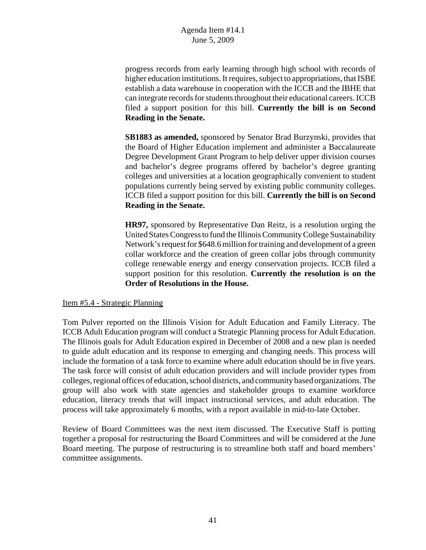progress records from early learning through high school with records of higher education institutions. It requires, subject to appropriations, that ISBE establish a data warehouse in cooperation with the ICCB and the IBHE that can integrate records for students throughout their educational careers. ICCB filed a support position for this bill. **Currently the bill is on Second Reading in the Senate.**

**SB1883 as amended,** sponsored by Senator Brad Burzynski, provides that the Board of Higher Education implement and administer a Baccalaureate Degree Development Grant Program to help deliver upper division courses and bachelor's degree programs offered by bachelor's degree granting colleges and universities at a location geographically convenient to student populations currently being served by existing public community colleges. ICCB filed a support position for this bill. **Currently the bill is on Second Reading in the Senate.**

**HR97,** sponsored by Representative Dan Reitz, is a resolution urging the United States Congress to fund the Illinois Community College Sustainability Network's request for \$648.6 million for training and development of a green collar workforce and the creation of green collar jobs through community college renewable energy and energy conservation projects. ICCB filed a support position for this resolution. **Currently the resolution is on the Order of Resolutions in the House.**

#### Item #5.4 - Strategic Planning

Tom Pulver reported on the Illinois Vision for Adult Education and Family Literacy. The ICCB Adult Education program will conduct a Strategic Planning process for Adult Education. The Illinois goals for Adult Education expired in December of 2008 and a new plan is needed to guide adult education and its response to emerging and changing needs. This process will include the formation of a task force to examine where adult education should be in five years. The task force will consist of adult education providers and will include provider types from colleges, regional offices of education, school districts, and community based organizations. The group will also work with state agencies and stakeholder groups to examine workforce education, literacy trends that will impact instructional services, and adult education. The process will take approximately 6 months, with a report available in mid-to-late October.

Review of Board Committees was the next item discussed. The Executive Staff is putting together a proposal for restructuring the Board Committees and will be considered at the June Board meeting. The purpose of restructuring is to streamline both staff and board members' committee assignments.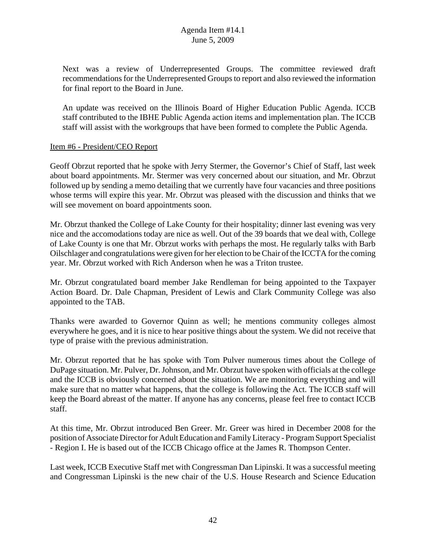Next was a review of Underrepresented Groups. The committee reviewed draft recommendations for the Underrepresented Groups to report and also reviewed the information for final report to the Board in June.

An update was received on the Illinois Board of Higher Education Public Agenda. ICCB staff contributed to the IBHE Public Agenda action items and implementation plan. The ICCB staff will assist with the workgroups that have been formed to complete the Public Agenda.

## Item #6 - President/CEO Report

Geoff Obrzut reported that he spoke with Jerry Stermer, the Governor's Chief of Staff, last week about board appointments. Mr. Stermer was very concerned about our situation, and Mr. Obrzut followed up by sending a memo detailing that we currently have four vacancies and three positions whose terms will expire this year. Mr. Obrzut was pleased with the discussion and thinks that we will see movement on board appointments soon.

Mr. Obrzut thanked the College of Lake County for their hospitality; dinner last evening was very nice and the accomodations today are nice as well. Out of the 39 boards that we deal with, College of Lake County is one that Mr. Obrzut works with perhaps the most. He regularly talks with Barb Oilschlager and congratulations were given for her election to be Chair of the ICCTA for the coming year. Mr. Obrzut worked with Rich Anderson when he was a Triton trustee.

Mr. Obrzut congratulated board member Jake Rendleman for being appointed to the Taxpayer Action Board. Dr. Dale Chapman, President of Lewis and Clark Community College was also appointed to the TAB.

Thanks were awarded to Governor Quinn as well; he mentions community colleges almost everywhere he goes, and it is nice to hear positive things about the system. We did not receive that type of praise with the previous administration.

Mr. Obrzut reported that he has spoke with Tom Pulver numerous times about the College of DuPage situation. Mr. Pulver, Dr. Johnson, and Mr. Obrzut have spoken with officials at the college and the ICCB is obviously concerned about the situation. We are monitoring everything and will make sure that no matter what happens, that the college is following the Act. The ICCB staff will keep the Board abreast of the matter. If anyone has any concerns, please feel free to contact ICCB staff.

At this time, Mr. Obrzut introduced Ben Greer. Mr. Greer was hired in December 2008 for the position of Associate Director for Adult Education and Family Literacy - Program Support Specialist - Region I. He is based out of the ICCB Chicago office at the James R. Thompson Center.

Last week, ICCB Executive Staff met with Congressman Dan Lipinski. It was a successful meeting and Congressman Lipinski is the new chair of the U.S. House Research and Science Education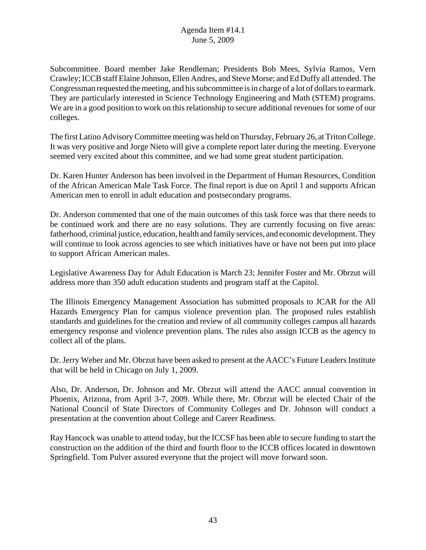Subcommittee. Board member Jake Rendleman; Presidents Bob Mees, Sylvia Ramos, Vern Crawley; ICCB staff Elaine Johnson, Ellen Andres, and Steve Morse; and Ed Duffy all attended. The Congressman requested the meeting, and his subcommittee is in charge of a lot of dollars to earmark. They are particularly interested in Science Technology Engineering and Math (STEM) programs. We are in a good position to work on this relationship to secure additional revenues for some of our colleges.

The first Latino Advisory Committee meeting was held on Thursday, February 26, at Triton College. It was very positive and Jorge Nieto will give a complete report later during the meeting. Everyone seemed very excited about this committee, and we had some great student participation.

Dr. Karen Hunter Anderson has been involved in the Department of Human Resources, Condition of the African American Male Task Force. The final report is due on April 1 and supports African American men to enroll in adult education and postsecondary programs.

Dr. Anderson commented that one of the main outcomes of this task force was that there needs to be continued work and there are no easy solutions. They are currently focusing on five areas: fatherhood, criminal justice, education, health and family services, and economic development. They will continue to look across agencies to see which initiatives have or have not been put into place to support African American males.

Legislative Awareness Day for Adult Education is March 23; Jennifer Foster and Mr. Obrzut will address more than 350 adult education students and program staff at the Capitol.

The Illinois Emergency Management Association has submitted proposals to JCAR for the All Hazards Emergency Plan for campus violence prevention plan. The proposed rules establish standards and guidelines for the creation and review of all community colleges campus all hazards emergency response and violence prevention plans. The rules also assign ICCB as the agency to collect all of the plans.

Dr. Jerry Weber and Mr. Obrzut have been asked to present at the AACC's Future Leaders Institute that will be held in Chicago on July 1, 2009.

Also, Dr. Anderson, Dr. Johnson and Mr. Obrzut will attend the AACC annual convention in Phoenix, Arizona, from April 3-7, 2009. While there, Mr. Obrzut will be elected Chair of the National Council of State Directors of Community Colleges and Dr. Johnson will conduct a presentation at the convention about College and Career Readiness.

Ray Hancock was unable to attend today, but the ICCSF has been able to secure funding to start the construction on the addition of the third and fourth floor to the ICCB offices located in downtown Springfield. Tom Pulver assured everyone that the project will move forward soon.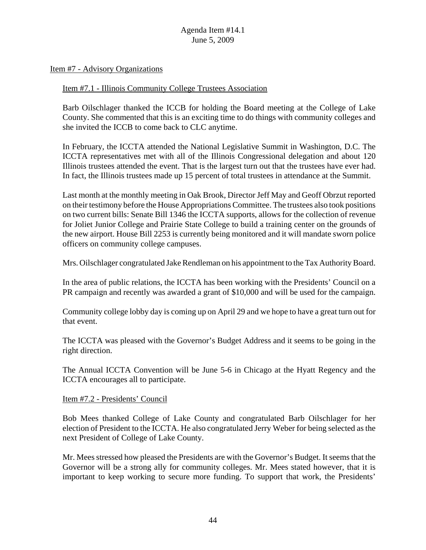#### Item #7 - Advisory Organizations

#### Item #7.1 - Illinois Community College Trustees Association

Barb Oilschlager thanked the ICCB for holding the Board meeting at the College of Lake County. She commented that this is an exciting time to do things with community colleges and she invited the ICCB to come back to CLC anytime.

In February, the ICCTA attended the National Legislative Summit in Washington, D.C. The ICCTA representatives met with all of the Illinois Congressional delegation and about 120 Illinois trustees attended the event. That is the largest turn out that the trustees have ever had. In fact, the Illinois trustees made up 15 percent of total trustees in attendance at the Summit.

Last month at the monthly meeting in Oak Brook, Director Jeff May and Geoff Obrzut reported on their testimony before the House Appropriations Committee. The trustees also took positions on two current bills: Senate Bill 1346 the ICCTA supports, allows for the collection of revenue for Joliet Junior College and Prairie State College to build a training center on the grounds of the new airport. House Bill 2253 is currently being monitored and it will mandate sworn police officers on community college campuses.

Mrs. Oilschlager congratulated Jake Rendleman on his appointment to the Tax Authority Board.

In the area of public relations, the ICCTA has been working with the Presidents' Council on a PR campaign and recently was awarded a grant of \$10,000 and will be used for the campaign.

Community college lobby day is coming up on April 29 and we hope to have a great turn out for that event.

The ICCTA was pleased with the Governor's Budget Address and it seems to be going in the right direction.

The Annual ICCTA Convention will be June 5-6 in Chicago at the Hyatt Regency and the ICCTA encourages all to participate.

#### Item #7.2 - Presidents' Council

Bob Mees thanked College of Lake County and congratulated Barb Oilschlager for her election of President to the ICCTA. He also congratulated Jerry Weber for being selected as the next President of College of Lake County.

Mr. Mees stressed how pleased the Presidents are with the Governor's Budget. It seems that the Governor will be a strong ally for community colleges. Mr. Mees stated however, that it is important to keep working to secure more funding. To support that work, the Presidents'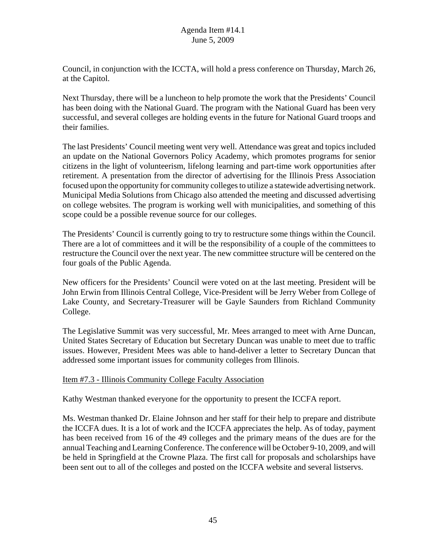Council, in conjunction with the ICCTA, will hold a press conference on Thursday, March 26, at the Capitol.

Next Thursday, there will be a luncheon to help promote the work that the Presidents' Council has been doing with the National Guard. The program with the National Guard has been very successful, and several colleges are holding events in the future for National Guard troops and their families.

The last Presidents' Council meeting went very well. Attendance was great and topics included an update on the National Governors Policy Academy, which promotes programs for senior citizens in the light of volunteerism, lifelong learning and part-time work opportunities after retirement. A presentation from the director of advertising for the Illinois Press Association focused upon the opportunity for community colleges to utilize a statewide advertising network. Municipal Media Solutions from Chicago also attended the meeting and discussed advertising on college websites. The program is working well with municipalities, and something of this scope could be a possible revenue source for our colleges.

The Presidents' Council is currently going to try to restructure some things within the Council. There are a lot of committees and it will be the responsibility of a couple of the committees to restructure the Council over the next year. The new committee structure will be centered on the four goals of the Public Agenda.

New officers for the Presidents' Council were voted on at the last meeting. President will be John Erwin from Illinois Central College, Vice-President will be Jerry Weber from College of Lake County, and Secretary-Treasurer will be Gayle Saunders from Richland Community College.

The Legislative Summit was very successful, Mr. Mees arranged to meet with Arne Duncan, United States Secretary of Education but Secretary Duncan was unable to meet due to traffic issues. However, President Mees was able to hand-deliver a letter to Secretary Duncan that addressed some important issues for community colleges from Illinois.

#### Item #7.3 - Illinois Community College Faculty Association

Kathy Westman thanked everyone for the opportunity to present the ICCFA report.

Ms. Westman thanked Dr. Elaine Johnson and her staff for their help to prepare and distribute the ICCFA dues. It is a lot of work and the ICCFA appreciates the help. As of today, payment has been received from 16 of the 49 colleges and the primary means of the dues are for the annual Teaching and Learning Conference. The conference will be October 9-10, 2009, and will be held in Springfield at the Crowne Plaza. The first call for proposals and scholarships have been sent out to all of the colleges and posted on the ICCFA website and several listservs.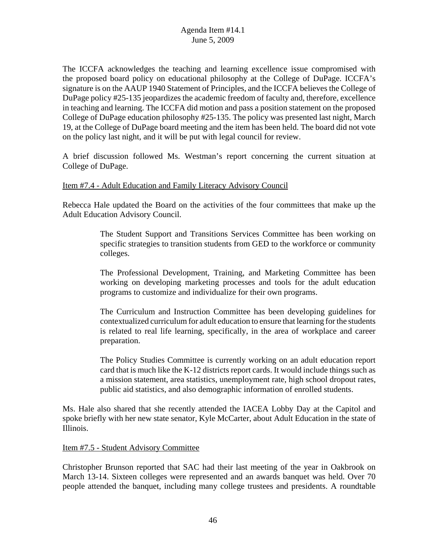The ICCFA acknowledges the teaching and learning excellence issue compromised with the proposed board policy on educational philosophy at the College of DuPage. ICCFA's signature is on the AAUP 1940 Statement of Principles, and the ICCFA believes the College of DuPage policy #25-135 jeopardizes the academic freedom of faculty and, therefore, excellence in teaching and learning. The ICCFA did motion and pass a position statement on the proposed College of DuPage education philosophy #25-135. The policy was presented last night, March 19, at the College of DuPage board meeting and the item has been held. The board did not vote on the policy last night, and it will be put with legal council for review.

A brief discussion followed Ms. Westman's report concerning the current situation at College of DuPage.

## Item #7.4 - Adult Education and Family Literacy Advisory Council

Rebecca Hale updated the Board on the activities of the four committees that make up the Adult Education Advisory Council.

> The Student Support and Transitions Services Committee has been working on specific strategies to transition students from GED to the workforce or community colleges.

> The Professional Development, Training, and Marketing Committee has been working on developing marketing processes and tools for the adult education programs to customize and individualize for their own programs.

> The Curriculum and Instruction Committee has been developing guidelines for contextualized curriculum for adult education to ensure that learning for the students is related to real life learning, specifically, in the area of workplace and career preparation.

> The Policy Studies Committee is currently working on an adult education report card that is much like the K-12 districts report cards. It would include things such as a mission statement, area statistics, unemployment rate, high school dropout rates, public aid statistics, and also demographic information of enrolled students.

Ms. Hale also shared that she recently attended the IACEA Lobby Day at the Capitol and spoke briefly with her new state senator, Kyle McCarter, about Adult Education in the state of Illinois.

#### Item #7.5 - Student Advisory Committee

Christopher Brunson reported that SAC had their last meeting of the year in Oakbrook on March 13-14. Sixteen colleges were represented and an awards banquet was held. Over 70 people attended the banquet, including many college trustees and presidents. A roundtable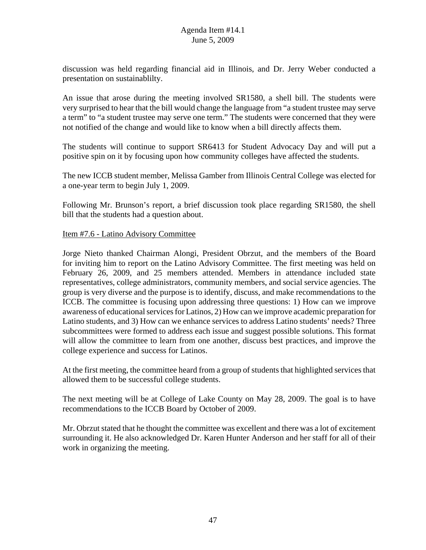discussion was held regarding financial aid in Illinois, and Dr. Jerry Weber conducted a presentation on sustainablilty.

An issue that arose during the meeting involved SR1580, a shell bill. The students were very surprised to hear that the bill would change the language from "a student trustee may serve a term" to "a student trustee may serve one term." The students were concerned that they were not notified of the change and would like to know when a bill directly affects them.

The students will continue to support SR6413 for Student Advocacy Day and will put a positive spin on it by focusing upon how community colleges have affected the students.

The new ICCB student member, Melissa Gamber from Illinois Central College was elected for a one-year term to begin July 1, 2009.

Following Mr. Brunson's report, a brief discussion took place regarding SR1580, the shell bill that the students had a question about.

## Item #7.6 - Latino Advisory Committee

Jorge Nieto thanked Chairman Alongi, President Obrzut, and the members of the Board for inviting him to report on the Latino Advisory Committee. The first meeting was held on February 26, 2009, and 25 members attended. Members in attendance included state representatives, college administrators, community members, and social service agencies. The group is very diverse and the purpose is to identify, discuss, and make recommendations to the ICCB. The committee is focusing upon addressing three questions: 1) How can we improve awareness of educational services for Latinos, 2) How can we improve academic preparation for Latino students, and 3) How can we enhance services to address Latino students' needs? Three subcommittees were formed to address each issue and suggest possible solutions. This format will allow the committee to learn from one another, discuss best practices, and improve the college experience and success for Latinos.

At the first meeting, the committee heard from a group of students that highlighted services that allowed them to be successful college students.

The next meeting will be at College of Lake County on May 28, 2009. The goal is to have recommendations to the ICCB Board by October of 2009.

Mr. Obrzut stated that he thought the committee was excellent and there was a lot of excitement surrounding it. He also acknowledged Dr. Karen Hunter Anderson and her staff for all of their work in organizing the meeting.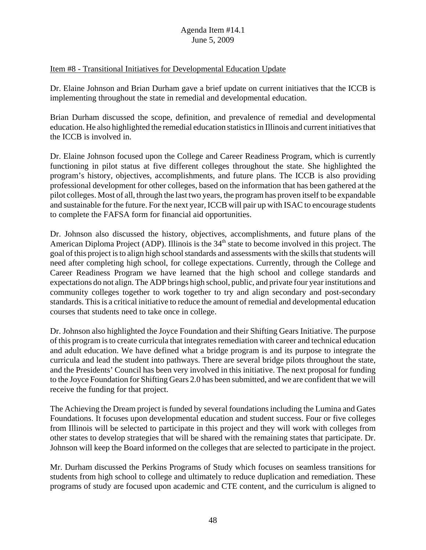## Item #8 - Transitional Initiatives for Developmental Education Update

Dr. Elaine Johnson and Brian Durham gave a brief update on current initiatives that the ICCB is implementing throughout the state in remedial and developmental education.

Brian Durham discussed the scope, definition, and prevalence of remedial and developmental education. He also highlighted the remedial education statistics in Illinois and current initiatives that the ICCB is involved in.

Dr. Elaine Johnson focused upon the College and Career Readiness Program, which is currently functioning in pilot status at five different colleges throughout the state. She highlighted the program's history, objectives, accomplishments, and future plans. The ICCB is also providing professional development for other colleges, based on the information that has been gathered at the pilot colleges. Most of all, through the last two years, the program has proven itself to be expandable and sustainable for the future. For the next year, ICCB will pair up with ISAC to encourage students to complete the FAFSA form for financial aid opportunities.

Dr. Johnson also discussed the history, objectives, accomplishments, and future plans of the American Diploma Project (ADP). Illinois is the  $34<sup>th</sup>$  state to become involved in this project. The goal of this project is to align high school standards and assessments with the skills that students will need after completing high school, for college expectations. Currently, through the College and Career Readiness Program we have learned that the high school and college standards and expectations do not align. The ADP brings high school, public, and private four year institutions and community colleges together to work together to try and align secondary and post-secondary standards. This is a critical initiative to reduce the amount of remedial and developmental education courses that students need to take once in college.

Dr. Johnson also highlighted the Joyce Foundation and their Shifting Gears Initiative. The purpose of this program is to create curricula that integrates remediation with career and technical education and adult education. We have defined what a bridge program is and its purpose to integrate the curricula and lead the student into pathways. There are several bridge pilots throughout the state, and the Presidents' Council has been very involved in this initiative. The next proposal for funding to the Joyce Foundation for Shifting Gears 2.0 has been submitted, and we are confident that we will receive the funding for that project.

The Achieving the Dream project is funded by several foundations including the Lumina and Gates Foundations. It focuses upon developmental education and student success. Four or five colleges from Illinois will be selected to participate in this project and they will work with colleges from other states to develop strategies that will be shared with the remaining states that participate. Dr. Johnson will keep the Board informed on the colleges that are selected to participate in the project.

Mr. Durham discussed the Perkins Programs of Study which focuses on seamless transitions for students from high school to college and ultimately to reduce duplication and remediation. These programs of study are focused upon academic and CTE content, and the curriculum is aligned to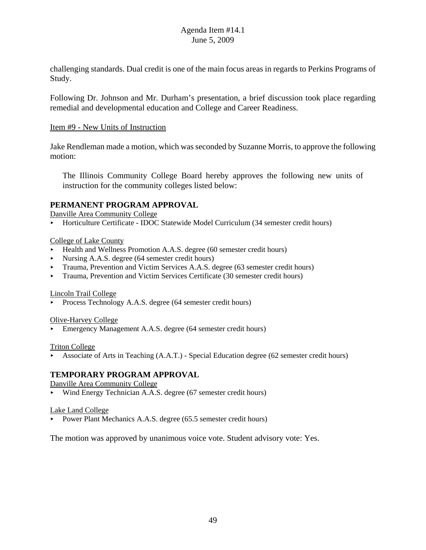challenging standards. Dual credit is one of the main focus areas in regards to Perkins Programs of Study.

Following Dr. Johnson and Mr. Durham's presentation, a brief discussion took place regarding remedial and developmental education and College and Career Readiness.

#### Item #9 - New Units of Instruction

Jake Rendleman made a motion, which was seconded by Suzanne Morris, to approve the following motion:

The Illinois Community College Board hereby approves the following new units of instruction for the community colleges listed below:

## **PERMANENT PROGRAM APPROVAL**

Danville Area Community College

< Horticulture Certificate - IDOC Statewide Model Curriculum (34 semester credit hours)

#### College of Lake County

- ▶ Health and Wellness Promotion A.A.S. degree (60 semester credit hours)
- Nursing A.A.S. degree (64 semester credit hours)
- < Trauma, Prevention and Victim Services A.A.S. degree (63 semester credit hours)
- **Figure** Trauma, Prevention and Victim Services Certificate (30 semester credit hours)

#### Lincoln Trail College

Process Technology A.A.S. degree (64 semester credit hours)

Olive-Harvey College

< Emergency Management A.A.S. degree (64 semester credit hours)

#### Triton College

< Associate of Arts in Teaching (A.A.T.) - Special Education degree (62 semester credit hours)

## **TEMPORARY PROGRAM APPROVAL**

Danville Area Community College

< Wind Energy Technician A.A.S. degree (67 semester credit hours)

#### Lake Land College

• Power Plant Mechanics A.A.S. degree (65.5 semester credit hours)

The motion was approved by unanimous voice vote. Student advisory vote: Yes.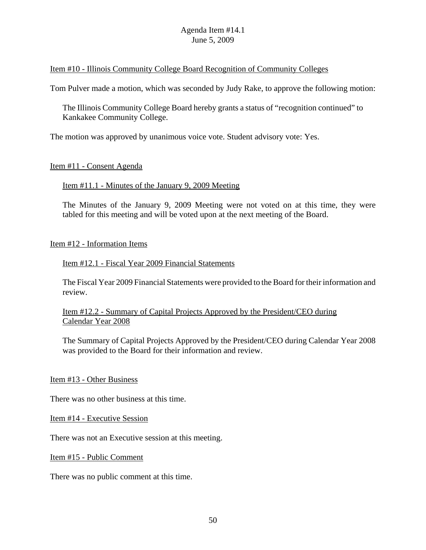#### Item #10 - Illinois Community College Board Recognition of Community Colleges

Tom Pulver made a motion, which was seconded by Judy Rake, to approve the following motion:

The Illinois Community College Board hereby grants a status of "recognition continued" to Kankakee Community College.

The motion was approved by unanimous voice vote. Student advisory vote: Yes.

## Item #11 - Consent Agenda

## Item #11.1 - Minutes of the January 9, 2009 Meeting

The Minutes of the January 9, 2009 Meeting were not voted on at this time, they were tabled for this meeting and will be voted upon at the next meeting of the Board.

#### Item #12 - Information Items

## Item #12.1 - Fiscal Year 2009 Financial Statements

The Fiscal Year 2009 Financial Statements were provided to the Board for their information and review.

## Item #12.2 - Summary of Capital Projects Approved by the President/CEO during Calendar Year 2008

The Summary of Capital Projects Approved by the President/CEO during Calendar Year 2008 was provided to the Board for their information and review.

#### Item #13 - Other Business

There was no other business at this time.

Item #14 - Executive Session

There was not an Executive session at this meeting.

Item #15 - Public Comment

There was no public comment at this time.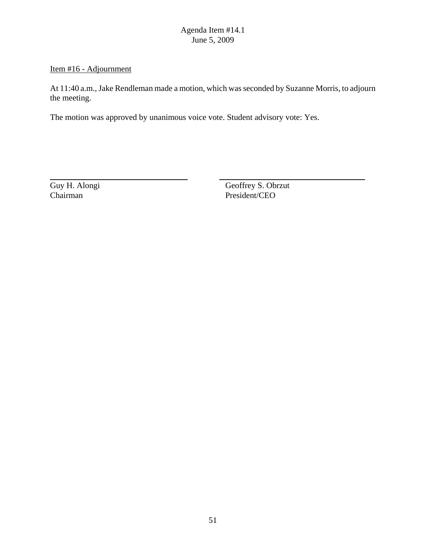## Item #16 - Adjournment

At 11:40 a.m., Jake Rendleman made a motion, which was seconded by Suzanne Morris, to adjourn the meeting.

The motion was approved by unanimous voice vote. Student advisory vote: Yes.

Guy H. Alongi Geoffrey S. Obrzut Chairman President/CEO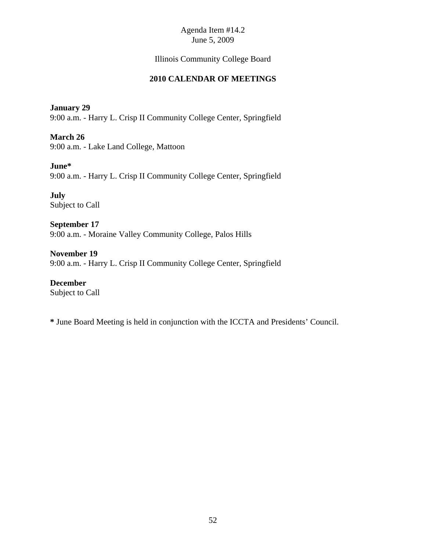# Illinois Community College Board

# **2010 CALENDAR OF MEETINGS**

## **January 29**

9:00 a.m. - Harry L. Crisp II Community College Center, Springfield

**March 26**

9:00 a.m. - Lake Land College, Mattoon

# **June\***

9:00 a.m. - Harry L. Crisp II Community College Center, Springfield

**July** Subject to Call

**September 17** 9:00 a.m. - Moraine Valley Community College, Palos Hills

**November 19** 9:00 a.m. - Harry L. Crisp II Community College Center, Springfield

**December** Subject to Call

**\*** June Board Meeting is held in conjunction with the ICCTA and Presidents' Council.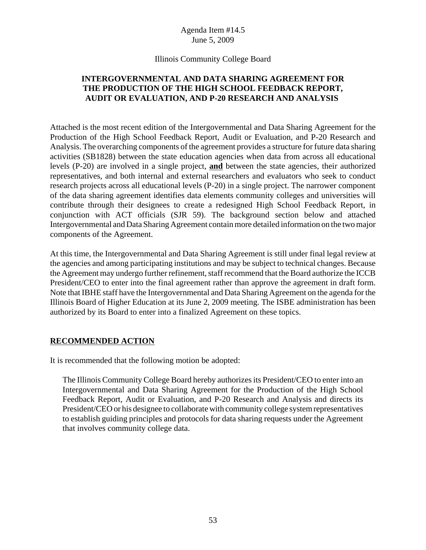## Illinois Community College Board

# **INTERGOVERNMENTAL AND DATA SHARING AGREEMENT FOR THE PRODUCTION OF THE HIGH SCHOOL FEEDBACK REPORT, AUDIT OR EVALUATION, AND P-20 RESEARCH AND ANALYSIS**

Attached is the most recent edition of the Intergovernmental and Data Sharing Agreement for the Production of the High School Feedback Report, Audit or Evaluation, and P-20 Research and Analysis. The overarching components of the agreement provides a structure for future data sharing activities (SB1828) between the state education agencies when data from across all educational levels (P-20) are involved in a single project, **and** between the state agencies, their authorized representatives, and both internal and external researchers and evaluators who seek to conduct research projects across all educational levels (P-20) in a single project. The narrower component of the data sharing agreement identifies data elements community colleges and universities will contribute through their designees to create a redesigned High School Feedback Report, in conjunction with ACT officials (SJR 59). The background section below and attached Intergovernmental and Data Sharing Agreement contain more detailed information on the two major components of the Agreement.

At this time, the Intergovernmental and Data Sharing Agreement is still under final legal review at the agencies and among participating institutions and may be subject to technical changes. Because the Agreement may undergo further refinement, staff recommend that the Board authorize the ICCB President/CEO to enter into the final agreement rather than approve the agreement in draft form. Note that IBHE staff have the Intergovernmental and Data Sharing Agreement on the agenda for the Illinois Board of Higher Education at its June 2, 2009 meeting. The ISBE administration has been authorized by its Board to enter into a finalized Agreement on these topics.

#### **RECOMMENDED ACTION**

It is recommended that the following motion be adopted:

The Illinois Community College Board hereby authorizes its President/CEO to enter into an Intergovernmental and Data Sharing Agreement for the Production of the High School Feedback Report, Audit or Evaluation, and P-20 Research and Analysis and directs its President/CEO or his designee to collaborate with community college system representatives to establish guiding principles and protocols for data sharing requests under the Agreement that involves community college data.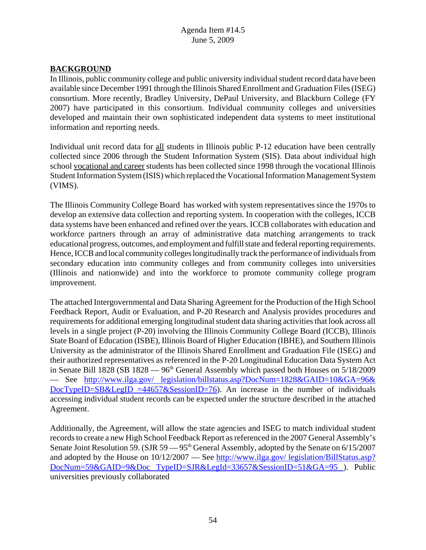# **BACKGROUND**

In Illinois, public community college and public university individual student record data have been available since December 1991 through the Illinois Shared Enrollment and Graduation Files (ISEG) consortium. More recently, Bradley University, DePaul University, and Blackburn College (FY 2007) have participated in this consortium. Individual community colleges and universities developed and maintain their own sophisticated independent data systems to meet institutional information and reporting needs.

Individual unit record data for all students in Illinois public P-12 education have been centrally collected since 2006 through the Student Information System (SIS). Data about individual high school vocational and career students has been collected since 1998 through the vocational Illinois Student Information System (ISIS) which replaced the Vocational Information Management System (VIMS).

The Illinois Community College Board has worked with system representatives since the 1970s to develop an extensive data collection and reporting system. In cooperation with the colleges, ICCB data systems have been enhanced and refined over the years. ICCB collaborates with education and workforce partners through an array of administrative data matching arrangements to track educational progress, outcomes, and employment and fulfill state and federal reporting requirements. Hence, ICCB and local community colleges longitudinally track the performance of individuals from secondary education into community colleges and from community colleges into universities (Illinois and nationwide) and into the workforce to promote community college program improvement.

The attached Intergovernmental and Data Sharing Agreement for the Production of the High School Feedback Report, Audit or Evaluation, and P-20 Research and Analysis provides procedures and requirements for additional emerging longitudinal student data sharing activities that look across all levels in a single project (P-20) involving the Illinois Community College Board (ICCB), Illinois State Board of Education (ISBE), Illinois Board of Higher Education (IBHE), and Southern Illinois University as the administrator of the Illinois Shared Enrollment and Graduation File (ISEG) and their authorized representatives as referenced in the P-20 Longitudinal Education Data System Act in Senate Bill 1828 (SB 1828  $-96<sup>th</sup>$  General Assembly which passed both Houses on  $5/18/2009$ –– See http://www.ilga.gov/ legislation/billstatus.asp?DocNum=1828&GAID=10&GA=96& DocTypeID=SB&LegID =44657&SessionID=76). An increase in the number of individuals accessing individual student records can be expected under the structure described in the attached Agreement.

Additionally, the Agreement, will allow the state agencies and ISEG to match individual student records to create a new High School Feedback Report as referenced in the 2007 General Assembly's Senate Joint Resolution 59. (SJR 59 –– 95<sup>th</sup> General Assembly, adopted by the Senate on 6/15/2007 and adopted by the House on  $10/12/2007$  — See http://www.ilga.gov/ legislation/BillStatus.asp? DocNum=59&GAID=9&Doc TypeID=SJR&LegId=33657&SessionID=51&GA=95 ). Public universities previously collaborated